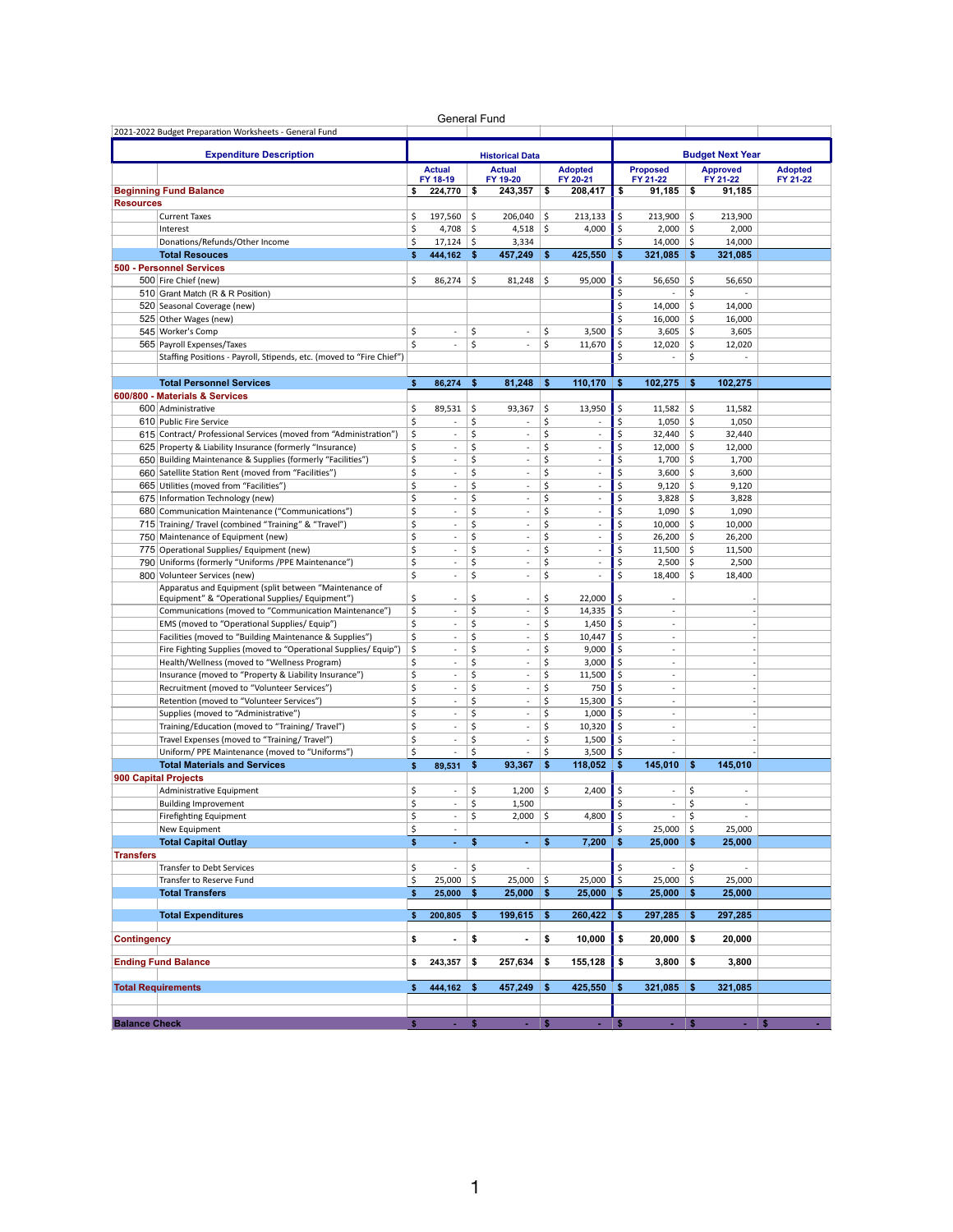|                      |                                                                      |    | General Fund             |    |                           |              |                            |     |                             |            |                             |                            |
|----------------------|----------------------------------------------------------------------|----|--------------------------|----|---------------------------|--------------|----------------------------|-----|-----------------------------|------------|-----------------------------|----------------------------|
|                      | 2021-2022 Budget Preparation Worksheets - General Fund               |    |                          |    |                           |              |                            |     |                             |            |                             |                            |
|                      | <b>Expenditure Description</b>                                       |    |                          |    | <b>Historical Data</b>    |              |                            |     |                             |            | <b>Budget Next Year</b>     |                            |
|                      |                                                                      |    | <b>Actual</b>            |    |                           |              |                            |     |                             |            |                             |                            |
|                      |                                                                      |    | FY 18-19                 |    | <b>Actual</b><br>FY 19-20 |              | <b>Adopted</b><br>FY 20-21 |     | <b>Proposed</b><br>FY 21-22 |            | <b>Approved</b><br>FY 21-22 | <b>Adopted</b><br>FY 21-22 |
|                      | <b>Beginning Fund Balance</b>                                        | \$ | 224,770                  | s  | 243.357                   | \$           | 208.417                    | \$  | $91,185$ \$                 |            | 91,185                      |                            |
| <b>Resources</b>     |                                                                      |    |                          |    |                           |              |                            |     |                             |            |                             |                            |
|                      | <b>Current Taxes</b>                                                 | \$ | 197,560                  | \$ | 206,040                   | \$           | 213,133                    | \$  | 213,900                     | \$         | 213.900                     |                            |
|                      | Interest                                                             | \$ | 4,708                    | \$ | 4,518                     | \$           | 4,000                      | \$  | 2,000                       | \$         | 2,000                       |                            |
|                      | Donations/Refunds/Other Income                                       | \$ | 17,124                   | \$ | 3,334                     |              |                            | \$  | 14,000                      | \$         | 14,000                      |                            |
|                      | <b>Total Resouces</b>                                                | \$ | 444,162                  | \$ | 457,249                   | $\mathbf{s}$ | 425,550                    | \$  | 321,085                     | \$         | 321,085                     |                            |
|                      | 500 - Personnel Services                                             |    |                          |    |                           |              |                            |     |                             |            |                             |                            |
|                      | 500 Fire Chief (new)                                                 | \$ | 86,274                   | \$ | 81,248                    | \$           | 95,000                     | \$  | 56,650                      | \$         | 56,650                      |                            |
|                      | 510 Grant Match (R & R Position)                                     |    |                          |    |                           |              |                            | \$  |                             | \$         |                             |                            |
|                      | 520 Seasonal Coverage (new)                                          |    |                          |    |                           |              |                            | \$  | 14,000                      | \$         | 14,000                      |                            |
|                      | 525 Other Wages (new)                                                |    |                          |    |                           |              |                            | \$  | 16,000                      | \$         | 16,000                      |                            |
|                      | 545 Worker's Comp                                                    | \$ | ٠                        | \$ | ×                         | \$           | 3,500                      | \$  | 3,605                       | \$         | 3,605                       |                            |
|                      | 565 Payroll Expenses/Taxes                                           | Ś  | ×                        | \$ | $\overline{\phantom{a}}$  | \$           | 11,670                     | \$  | 12,020                      | \$         | 12,020                      |                            |
|                      | Staffing Positions - Payroll, Stipends, etc. (moved to "Fire Chief") |    |                          |    |                           |              |                            | \$  | $\sim$                      | \$         | $\sim$                      |                            |
|                      |                                                                      |    |                          |    |                           |              |                            |     |                             |            |                             |                            |
|                      | <b>Total Personnel Services</b>                                      | \$ | 86,274                   | \$ | 81,248                    | \$           | 110,170                    | \$  | 102,275                     | \$         | 102,275                     |                            |
|                      | 600/800 - Materials & Services                                       |    |                          |    |                           |              |                            |     |                             |            |                             |                            |
|                      | 600 Administrative                                                   | \$ | 89,531                   | \$ | 93,367                    | \$           | 13,950                     | \$  | 11,582                      | \$         | 11,582                      |                            |
|                      | 610 Public Fire Service                                              | \$ |                          | \$ |                           | \$           |                            | \$  | 1,050                       | \$         | 1,050                       |                            |
|                      | 615 Contract/ Professional Services (moved from "Administration")    | \$ | ä,                       | \$ | ×                         | \$           | ä,                         | \$  | 32,440                      | \$         | 32,440                      |                            |
|                      | 625 Property & Liability Insurance (formerly "Insurance)             | \$ | ×,                       | \$ | $\overline{\phantom{a}}$  | \$           | ÷,                         | Ś   | 12,000                      | \$         | 12,000                      |                            |
|                      | 650 Building Maintenance & Supplies (formerly "Facilities")          | \$ | ٠                        | \$ | ×.                        | \$           | ٠                          | \$  | 1,700                       | \$         | 1,700                       |                            |
|                      | 660 Satellite Station Rent (moved from "Facilities")                 | \$ |                          | \$ | $\overline{\phantom{a}}$  | \$           | ÷,                         | Ś   | 3,600                       | \$         | 3,600                       |                            |
|                      | 665 Utilities (moved from "Facilities")                              | \$ | ÷.                       | \$ | $\mathcal{L}$             | \$           | ä,                         | Ś   | 9,120                       | \$         | 9,120                       |                            |
|                      | 675 Information Technology (new)                                     | \$ | ×,                       | \$ | ×                         | \$           | ÷,                         | \$  | 3,828                       | \$         | 3,828                       |                            |
|                      | 680 Communication Maintenance ("Communications")                     | \$ | ٠                        | \$ | ×.                        | \$           | ٠                          | \$  | 1,090                       | \$         | 1,090                       |                            |
|                      | 715 Training/ Travel (combined "Training" & "Travel")                | \$ | ×,                       | \$ | $\overline{\phantom{a}}$  | \$           | ÷,                         | \$  | 10.000                      | \$         | 10.000                      |                            |
|                      | 750 Maintenance of Equipment (new)                                   | \$ | ×,                       | \$ | ×                         | \$           | ×,                         | \$  | 26,200                      | \$         | 26,200                      |                            |
|                      | 775 Operational Supplies/ Equipment (new)                            | \$ | ×,                       | \$ | ×                         | \$           | ÷,                         | Ś   | 11,500                      | \$.        | 11,500                      |                            |
|                      | 790 Uniforms (formerly "Uniforms /PPE Maintenance")                  | \$ | ٠                        | \$ | ×.                        | \$           | ٠                          | \$  | 2,500                       | \$         | 2,500                       |                            |
|                      | 800 Volunteer Services (new)                                         | \$ | ä,                       | \$ | $\overline{\phantom{a}}$  | \$           | ä,                         | Ś   | 18,400                      | \$         | 18,400                      |                            |
|                      | Apparatus and Equipment (split between "Maintenance of               |    |                          |    |                           |              |                            |     |                             |            |                             |                            |
|                      | Equipment" & "Operational Supplies/ Equipment")                      | \$ |                          | \$ | ×                         | \$           | 22,000                     | \$  |                             |            |                             |                            |
|                      | Communications (moved to "Communication Maintenance")                | \$ | ä,                       | \$ | ×                         | \$           | 14,335                     | \$  | ٠                           |            |                             |                            |
|                      | EMS (moved to "Operational Supplies/ Equip")                         | \$ | $\overline{\phantom{a}}$ | \$ | $\overline{\phantom{a}}$  | \$           | 1,450                      | \$  | $\overline{\phantom{a}}$    |            |                             |                            |
|                      | Facilities (moved to "Building Maintenance & Supplies")              | \$ | ٠                        | \$ | ×                         | \$           | 10,447                     | \$  | $\sim$                      |            |                             |                            |
|                      | Fire Fighting Supplies (moved to "Operational Supplies/Equip")       | \$ | ä,                       | \$ | ×                         | \$           | 9,000                      | \$  | $\sim$                      |            |                             |                            |
|                      | Health/Wellness (moved to "Wellness Program)                         | \$ | ä,                       | \$ | ×                         | \$           | 3,000                      | \$  | ٠                           |            |                             |                            |
|                      | Insurance (moved to "Property & Liability Insurance")                | \$ | ٠                        | \$ | $\overline{\phantom{a}}$  | \$           | 11,500                     | \$  | $\sim$                      |            |                             |                            |
|                      | Recruitment (moved to "Volunteer Services")                          | \$ | ٠                        | \$ | $\overline{\phantom{a}}$  | \$           | 750                        | \$  | ×.                          |            |                             |                            |
|                      | Retention (moved to "Volunteer Services")                            | \$ | ÷.                       | \$ | $\mathcal{L}$             | \$           | 15,300                     | \$  | ÷                           |            |                             |                            |
|                      | Supplies (moved to "Administrative")                                 | \$ | ä,                       | \$ | ×                         | \$           | 1,000                      | \$  | ٠                           |            |                             |                            |
|                      | Training/Education (moved to "Training/ Travel")                     | \$ | ٠                        | \$ | $\overline{\phantom{a}}$  | \$           | 10,320                     | \$  | $\sim$                      |            |                             |                            |
|                      | Travel Expenses (moved to "Training/ Travel")                        | \$ | ×,                       | \$ | ×                         | \$           | 1,500                      | \$  | ×,                          |            |                             |                            |
|                      | Uniform/ PPE Maintenance (moved to "Uniforms")                       | \$ | ×,                       | \$ | ×,                        | \$           | 3,500                      | \$  | ÷                           |            |                             |                            |
|                      | <b>Total Materials and Services</b>                                  | \$ | 89,531                   | \$ | 93,367                    | \$           | 118.052                    | \$  | 145,010                     | \$         | 145,010                     |                            |
|                      | <b>900 Capital Projects</b>                                          |    |                          |    |                           |              |                            |     |                             |            |                             |                            |
|                      | Administrative Equipment                                             | \$ | ٠                        | \$ | 1,200                     | \$           | 2,400                      | \$  | $\overline{\phantom{a}}$    | \$         | $\sim$                      |                            |
|                      | <b>Building Improvement</b>                                          | \$ | ×,                       | \$ | 1,500                     |              |                            | \$  | $\mathcal{L}_{\mathcal{A}}$ | \$         | ×,                          |                            |
|                      | Firefighting Equipment                                               | \$ |                          | \$ | 2,000                     | \$           | 4,800 $\vert$ \$           |     | $\sim$                      | $\vert$ \$ | ÷.                          |                            |
|                      | New Equipment                                                        | \$ | $\overline{\phantom{a}}$ |    |                           |              |                            | \$  | $25,000$   \$               |            | 25,000                      |                            |
|                      | <b>Total Capital Outlay</b>                                          | \$ | ٠                        | \$ |                           | \$           | 7,200                      | -\$ | $25,000$ \$                 |            | 25,000                      |                            |
| <b>Transfers</b>     |                                                                      |    |                          |    |                           |              |                            |     |                             |            |                             |                            |
|                      | Transfer to Debt Services                                            | \$ |                          | \$ |                           |              |                            | \$  |                             | \$         |                             |                            |
|                      | Transfer to Reserve Fund                                             | \$ | 25,000                   | \$ | $25,000$ \$               |              | 25,000                     | \$  | $25,000$   \$               |            | 25,000                      |                            |
|                      | <b>Total Transfers</b>                                               | \$ | 25,000                   | \$ | $25,000$ \$               |              | 25,000                     | \$  | $25,000$ \$                 |            | 25,000                      |                            |
|                      | <b>Total Expenditures</b>                                            |    | 200,805                  |    | 199,615                   |              | 260,422                    |     | 297,285                     | \$         | 297,285                     |                            |
|                      |                                                                      | \$ |                          | \$ |                           | \$           |                            | \$  |                             |            |                             |                            |
| <b>Contingency</b>   |                                                                      | \$ | $\centerdot$             | \$ | ٠                         | \$           | 10,000                     | \$  | 20,000                      | \$         | 20,000                      |                            |
|                      |                                                                      |    |                          |    |                           |              |                            |     |                             |            |                             |                            |
|                      | <b>Ending Fund Balance</b>                                           | \$ | 243,357                  | \$ | 257,634                   | \$           | 155,128                    | \$  | $3,800$ \$                  |            | 3,800                       |                            |
|                      |                                                                      |    |                          |    |                           |              |                            |     |                             |            |                             |                            |
|                      | <b>Total Requirements</b>                                            | \$ | 444,162                  | \$ | 457,249                   | \$           | 425,550                    | \$  | 321,085                     | \$         | 321,085                     |                            |
|                      |                                                                      |    |                          |    |                           |              |                            |     |                             |            |                             |                            |
|                      |                                                                      |    |                          |    |                           |              |                            |     |                             |            |                             |                            |
| <b>Balance Check</b> |                                                                      |    |                          |    |                           |              |                            |     |                             |            |                             |                            |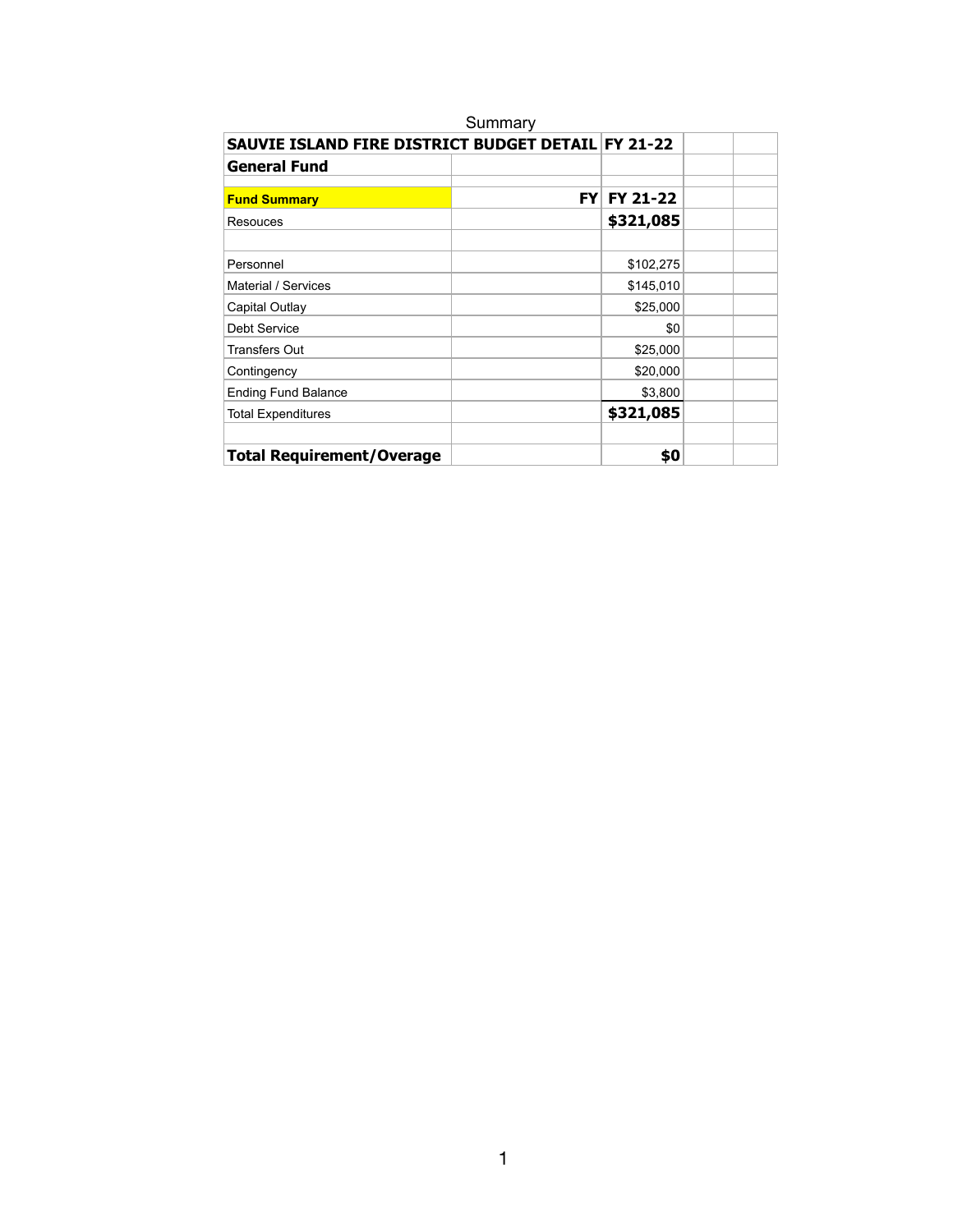|                                                    | Summary   |           |  |
|----------------------------------------------------|-----------|-----------|--|
| SAUVIE ISLAND FIRE DISTRICT BUDGET DETAIL FY 21-22 |           |           |  |
| <b>General Fund</b>                                |           |           |  |
| <b>Fund Summary</b>                                | <b>FY</b> | FY 21-22  |  |
| Resouces                                           |           | \$321,085 |  |
|                                                    |           |           |  |
| Personnel                                          |           | \$102,275 |  |
| Material / Services                                |           | \$145,010 |  |
| Capital Outlay                                     |           | \$25,000  |  |
| <b>Debt Service</b>                                |           | \$0       |  |
| <b>Transfers Out</b>                               |           | \$25,000  |  |
| Contingency                                        |           | \$20,000  |  |
| <b>Ending Fund Balance</b>                         |           | \$3,800   |  |
| <b>Total Expenditures</b>                          |           | \$321,085 |  |
| <b>Total Requirement/Overage</b>                   |           | \$0       |  |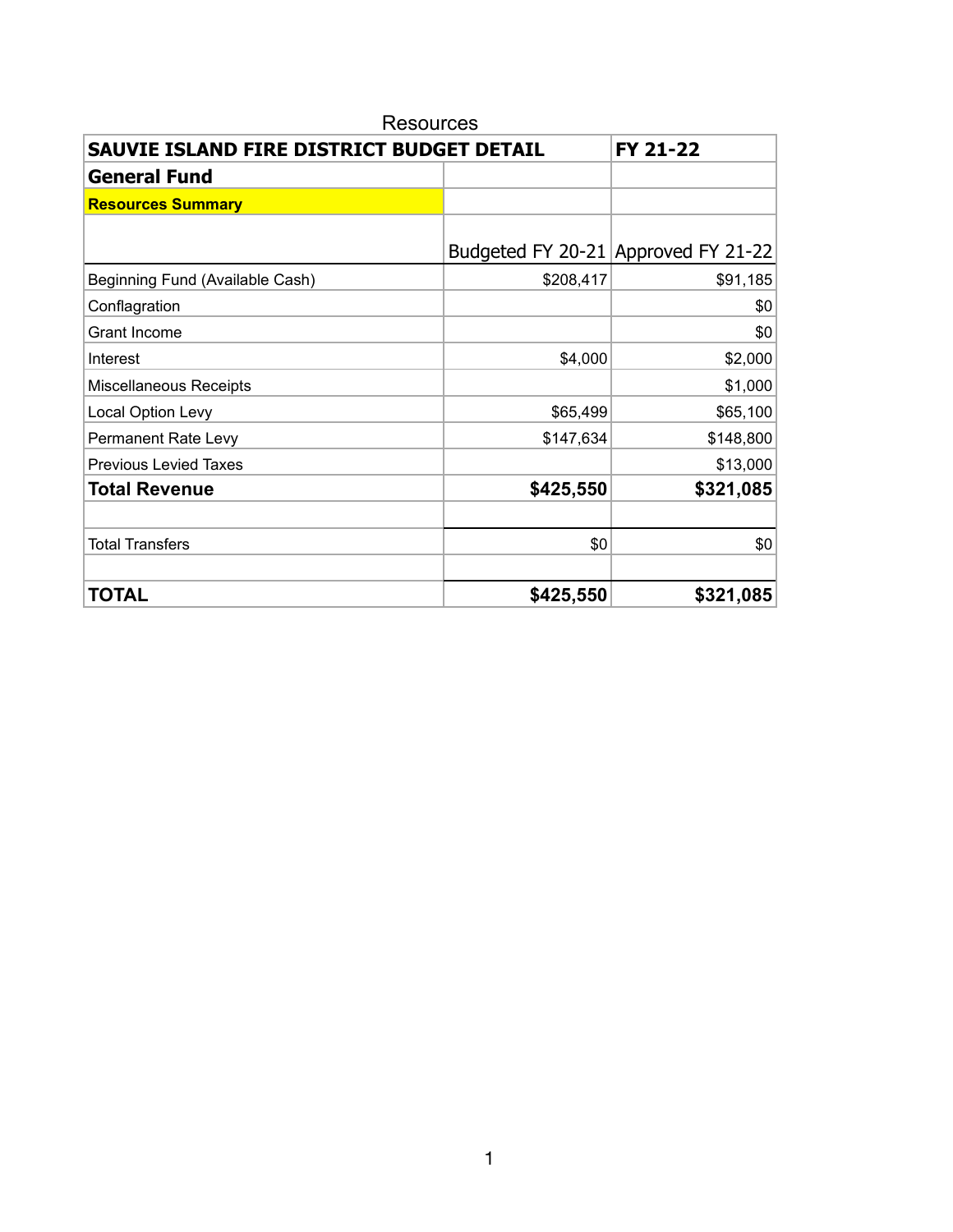| <b>Resources</b>                          |           |                                     |  |  |  |  |
|-------------------------------------------|-----------|-------------------------------------|--|--|--|--|
| SAUVIE ISLAND FIRE DISTRICT BUDGET DETAIL |           | FY 21-22                            |  |  |  |  |
| <b>General Fund</b>                       |           |                                     |  |  |  |  |
| <b>Resources Summary</b>                  |           |                                     |  |  |  |  |
|                                           |           |                                     |  |  |  |  |
|                                           |           | Budgeted FY 20-21 Approved FY 21-22 |  |  |  |  |
| Beginning Fund (Available Cash)           | \$208,417 | \$91,185                            |  |  |  |  |
| Conflagration                             |           | \$0                                 |  |  |  |  |
| Grant Income                              |           | \$0                                 |  |  |  |  |
| Interest                                  | \$4,000   | \$2,000                             |  |  |  |  |
| Miscellaneous Receipts                    |           | \$1,000                             |  |  |  |  |
| Local Option Levy                         | \$65,499  | \$65,100                            |  |  |  |  |
| Permanent Rate Levy                       | \$147,634 | \$148,800                           |  |  |  |  |
| <b>Previous Levied Taxes</b>              |           | \$13,000                            |  |  |  |  |
| <b>Total Revenue</b>                      | \$425,550 | \$321,085                           |  |  |  |  |
|                                           |           |                                     |  |  |  |  |
| <b>Total Transfers</b>                    | \$0       | \$0                                 |  |  |  |  |
|                                           |           |                                     |  |  |  |  |
| <b>TOTAL</b>                              | \$425,550 | \$321,085                           |  |  |  |  |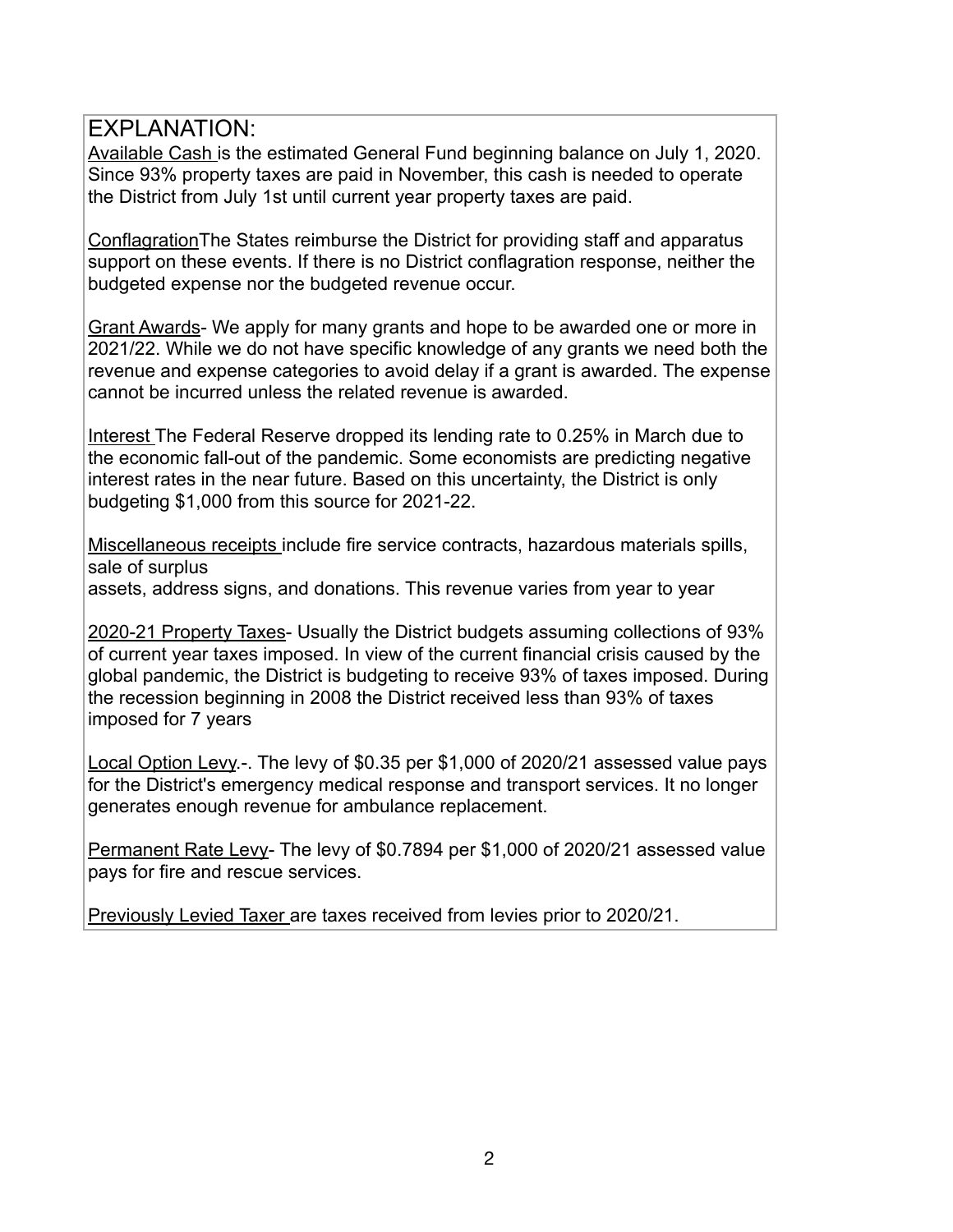Available Cash is the estimated General Fund beginning balance on July 1, 2020. Since 93% property taxes are paid in November, this cash is needed to operate the District from July 1st until current year property taxes are paid.

ConflagrationThe States reimburse the District for providing staff and apparatus support on these events. If there is no District conflagration response, neither the budgeted expense nor the budgeted revenue occur.

Grant Awards- We apply for many grants and hope to be awarded one or more in 2021/22. While we do not have specific knowledge of any grants we need both the revenue and expense categories to avoid delay if a grant is awarded. The expense cannot be incurred unless the related revenue is awarded.

Interest The Federal Reserve dropped its lending rate to 0.25% in March due to the economic fall-out of the pandemic. Some economists are predicting negative interest rates in the near future. Based on this uncertainty, the District is only budgeting \$1,000 from this source for 2021-22.

Miscellaneous receipts include fire service contracts, hazardous materials spills, sale of surplus assets, address signs, and donations. This revenue varies from year to year

2020-21 Property Taxes- Usually the District budgets assuming collections of 93% of current year taxes imposed. In view of the current financial crisis caused by the global pandemic, the District is budgeting to receive 93% of taxes imposed. During the recession beginning in 2008 the District received less than 93% of taxes imposed for 7 years

Local Option Levy.-. The levy of \$0.35 per \$1,000 of 2020/21 assessed value pays for the District's emergency medical response and transport services. It no longer generates enough revenue for ambulance replacement.

Permanent Rate Levy- The levy of \$0.7894 per \$1,000 of 2020/21 assessed value pays for fire and rescue services.

Previously Levied Taxer are taxes received from levies prior to 2020/21.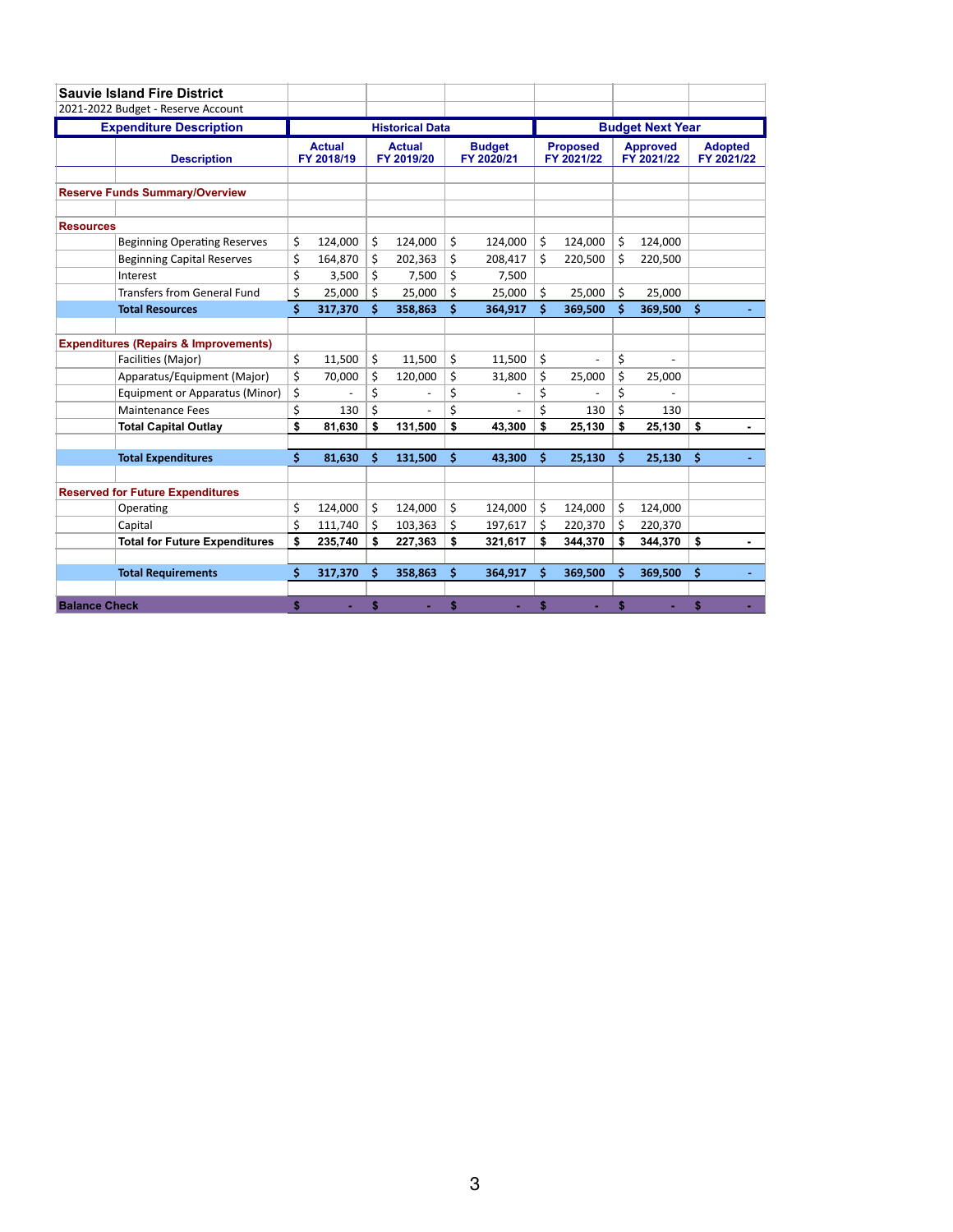|                      | <b>Sauvie Island Fire District</b>               |    |                             |                        |                             |    |                             |    |                               |    |                               |                              |  |
|----------------------|--------------------------------------------------|----|-----------------------------|------------------------|-----------------------------|----|-----------------------------|----|-------------------------------|----|-------------------------------|------------------------------|--|
|                      | 2021-2022 Budget - Reserve Account               |    |                             |                        |                             |    |                             |    |                               |    |                               |                              |  |
|                      | <b>Expenditure Description</b>                   |    |                             | <b>Historical Data</b> |                             |    |                             |    |                               |    | <b>Budget Next Year</b>       |                              |  |
|                      | <b>Description</b>                               |    | <b>Actual</b><br>FY 2018/19 |                        | <b>Actual</b><br>FY 2019/20 |    | <b>Budget</b><br>FY 2020/21 |    | <b>Proposed</b><br>FY 2021/22 |    | <b>Approved</b><br>FY 2021/22 | <b>Adopted</b><br>FY 2021/22 |  |
|                      | <b>Reserve Funds Summary/Overview</b>            |    |                             |                        |                             |    |                             |    |                               |    |                               |                              |  |
| <b>Resources</b>     |                                                  |    |                             |                        |                             |    |                             |    |                               |    |                               |                              |  |
|                      | <b>Beginning Operating Reserves</b>              | \$ | 124,000                     | \$                     | 124,000                     | \$ | 124,000                     | \$ | 124,000                       | \$ | 124,000                       |                              |  |
|                      | <b>Beginning Capital Reserves</b>                | \$ | 164,870                     | \$                     | 202,363                     | \$ | 208,417                     | Ś  | 220,500                       | Ś  | 220,500                       |                              |  |
|                      | Interest                                         | \$ | 3,500                       | Ś.                     | 7,500                       | \$ | 7,500                       |    |                               |    |                               |                              |  |
|                      | <b>Transfers from General Fund</b>               | \$ | 25,000                      | \$                     | 25,000                      | \$ | 25,000                      | Ś. | 25,000                        | Ś. | 25.000                        |                              |  |
|                      | <b>Total Resources</b>                           | \$ | 317,370                     | Ś                      | 358,863                     | Ś  | 364,917                     | Ś  | 369,500                       | Ś  | 369,500                       | \$                           |  |
|                      |                                                  |    |                             |                        |                             |    |                             |    |                               |    |                               |                              |  |
|                      | <b>Expenditures (Repairs &amp; Improvements)</b> |    |                             |                        |                             |    |                             |    |                               |    |                               |                              |  |
|                      | Facilities (Major)                               | \$ | 11,500                      | \$                     | 11,500                      | \$ | 11,500                      | \$ |                               | \$ |                               |                              |  |
|                      | Apparatus/Equipment (Major)                      | \$ | 70.000                      | \$                     | 120,000                     | \$ | 31,800                      | \$ | 25,000                        | \$ | 25,000                        |                              |  |
|                      | Equipment or Apparatus (Minor)                   | \$ |                             | \$                     |                             | \$ |                             | \$ |                               | \$ |                               |                              |  |
|                      | <b>Maintenance Fees</b>                          | \$ | 130                         | \$                     |                             | \$ |                             | \$ | 130                           | \$ | 130                           |                              |  |
|                      | <b>Total Capital Outlay</b>                      | \$ | 81,630                      | \$                     | 131,500                     | \$ | 43,300                      | \$ | 25,130                        | \$ | 25,130                        | \$                           |  |
|                      |                                                  | \$ |                             | Ś                      |                             |    |                             | Ś  |                               | Ś  |                               |                              |  |
|                      | <b>Total Expenditures</b>                        |    | 81,630                      |                        | 131,500                     | \$ | 43,300                      |    | 25,130                        |    | 25,130                        | \$                           |  |
|                      | <b>Reserved for Future Expenditures</b>          |    |                             |                        |                             |    |                             |    |                               |    |                               |                              |  |
|                      | Operating                                        | \$ | 124,000                     | \$                     | 124,000                     | \$ | 124,000                     | \$ | 124,000                       | \$ | 124,000                       |                              |  |
|                      | Capital                                          | \$ | 111,740                     | \$                     | 103,363                     | \$ | 197,617                     | \$ | 220,370                       | \$ | 220,370                       |                              |  |
|                      | <b>Total for Future Expenditures</b>             | \$ | 235,740                     | \$                     | 227,363                     | \$ | 321,617                     | \$ | 344,370                       | \$ | 344,370                       | \$                           |  |
|                      |                                                  |    |                             |                        |                             |    |                             |    |                               |    |                               |                              |  |
|                      | <b>Total Requirements</b>                        | Ś  | 317,370                     | Ś                      | 358,863                     | \$ | 364,917                     | Ś  | 369,500                       | Ś  | 369,500                       | \$                           |  |
|                      |                                                  |    |                             |                        |                             |    |                             |    |                               |    |                               |                              |  |
| <b>Balance Check</b> |                                                  | \$ |                             | \$                     |                             | \$ |                             | \$ |                               | \$ |                               | \$                           |  |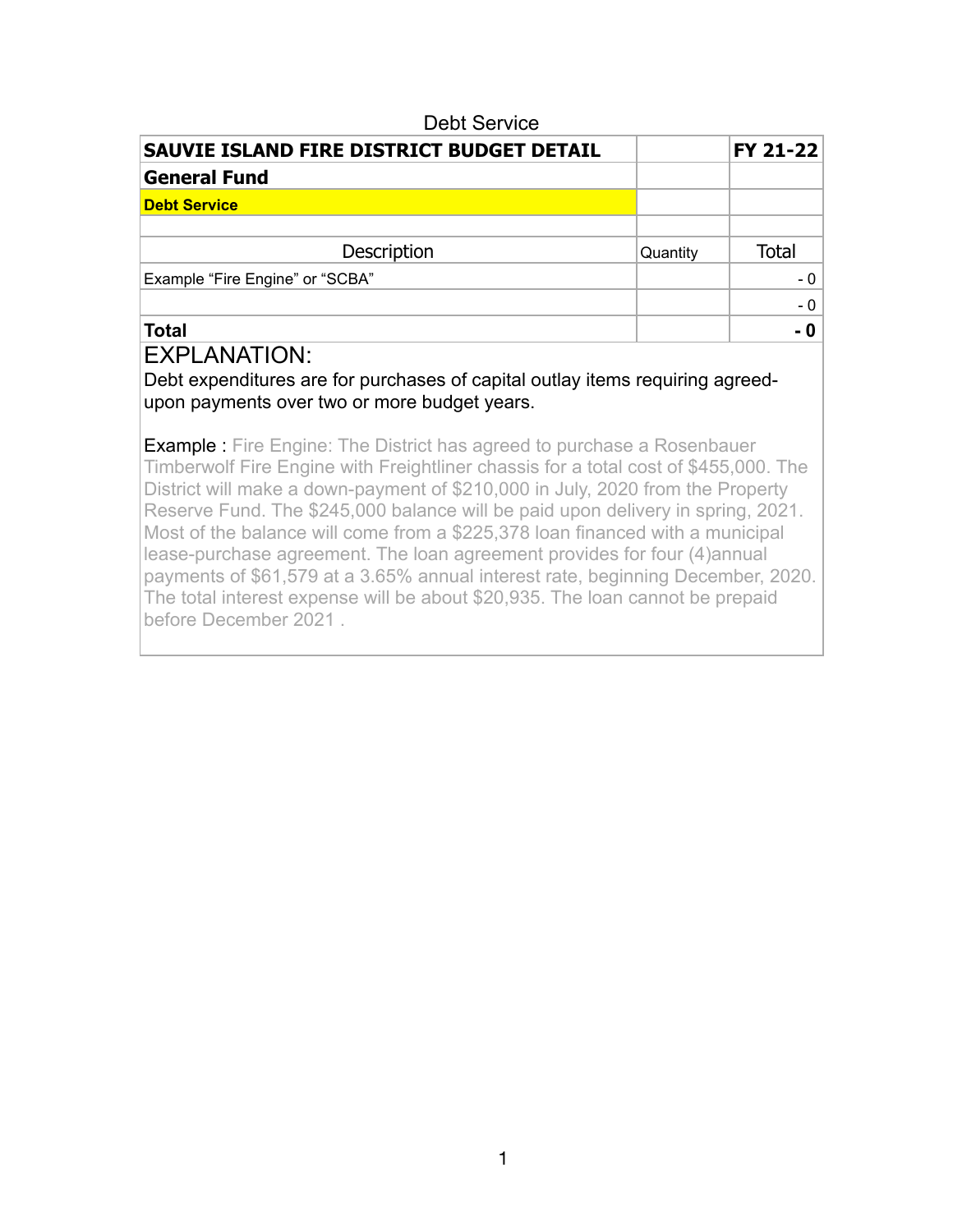| <b>Debt Service</b>                       |          |                 |
|-------------------------------------------|----------|-----------------|
| SAUVIE ISLAND FIRE DISTRICT BUDGET DETAIL |          | <b>FY 21-22</b> |
| <b>General Fund</b>                       |          |                 |
| <b>Debt Service</b>                       |          |                 |
|                                           |          |                 |
| <b>Description</b>                        | Quantity | <b>Total</b>    |
| Example "Fire Engine" or "SCBA"           |          | - 0             |
|                                           |          | $-0$            |
| <b>Total</b>                              |          |                 |

Debt expenditures are for purchases of capital outlay items requiring agreedupon payments over two or more budget years.

**Example :** Fire Engine: The District has agreed to purchase a Rosenbauer Timberwolf Fire Engine with Freightliner chassis for a total cost of \$455,000. The District will make a down-payment of \$210,000 in July, 2020 from the Property Reserve Fund. The \$245,000 balance will be paid upon delivery in spring, 2021. Most of the balance will come from a \$225,378 loan financed with a municipal lease-purchase agreement. The loan agreement provides for four (4)annual payments of \$61,579 at a 3.65% annual interest rate, beginning December, 2020. The total interest expense will be about \$20,935. The loan cannot be prepaid before December 2021 .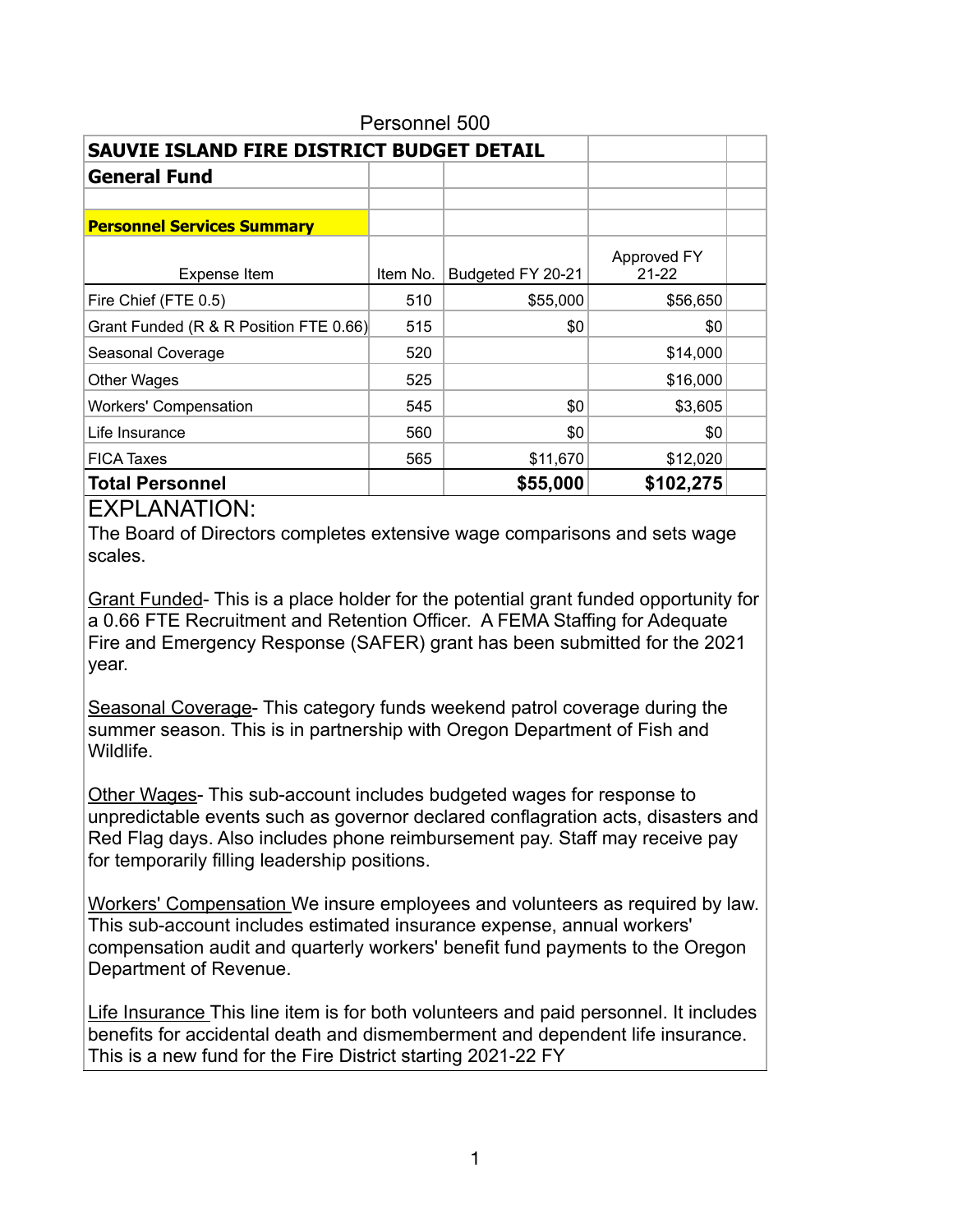| Personnel 500                             |          |                   |                          |  |  |  |  |  |
|-------------------------------------------|----------|-------------------|--------------------------|--|--|--|--|--|
| SAUVIE ISLAND FIRE DISTRICT BUDGET DETAIL |          |                   |                          |  |  |  |  |  |
| <b>General Fund</b>                       |          |                   |                          |  |  |  |  |  |
|                                           |          |                   |                          |  |  |  |  |  |
| <b>Personnel Services Summary</b>         |          |                   |                          |  |  |  |  |  |
| Expense Item                              | Item No. | Budgeted FY 20-21 | Approved FY<br>$21 - 22$ |  |  |  |  |  |
| Fire Chief (FTE 0.5)                      | 510      | \$55,000          | \$56,650                 |  |  |  |  |  |
| Grant Funded (R & R Position FTE 0.66)    | 515      | \$0               | \$0                      |  |  |  |  |  |
| Seasonal Coverage                         | 520      |                   | \$14,000                 |  |  |  |  |  |
| <b>Other Wages</b>                        | 525      |                   | \$16,000                 |  |  |  |  |  |
| <b>Workers' Compensation</b>              | 545      | \$0               | \$3,605                  |  |  |  |  |  |
| Life Insurance                            | 560      | \$0               | \$0                      |  |  |  |  |  |
| <b>FICA Taxes</b>                         | 565      | \$11,670          | \$12,020                 |  |  |  |  |  |
| <b>Total Personnel</b>                    |          | \$55,000          | \$102,275                |  |  |  |  |  |

The Board of Directors completes extensive wage comparisons and sets wage scales.

Grant Funded- This is a place holder for the potential grant funded opportunity for a 0.66 FTE Recruitment and Retention Officer. A FEMA Staffing for Adequate Fire and Emergency Response (SAFER) grant has been submitted for the 2021 year.

Seasonal Coverage- This category funds weekend patrol coverage during the summer season. This is in partnership with Oregon Department of Fish and Wildlife.

Other Wages- This sub-account includes budgeted wages for response to unpredictable events such as governor declared conflagration acts, disasters and Red Flag days. Also includes phone reimbursement pay. Staff may receive pay for temporarily filling leadership positions.

Workers' Compensation We insure employees and volunteers as required by law. This sub-account includes estimated insurance expense, annual workers' compensation audit and quarterly workers' benefit fund payments to the Oregon Department of Revenue.

Life Insurance This line item is for both volunteers and paid personnel. It includes benefits for accidental death and dismemberment and dependent life insurance. This is a new fund for the Fire District starting 2021-22 FY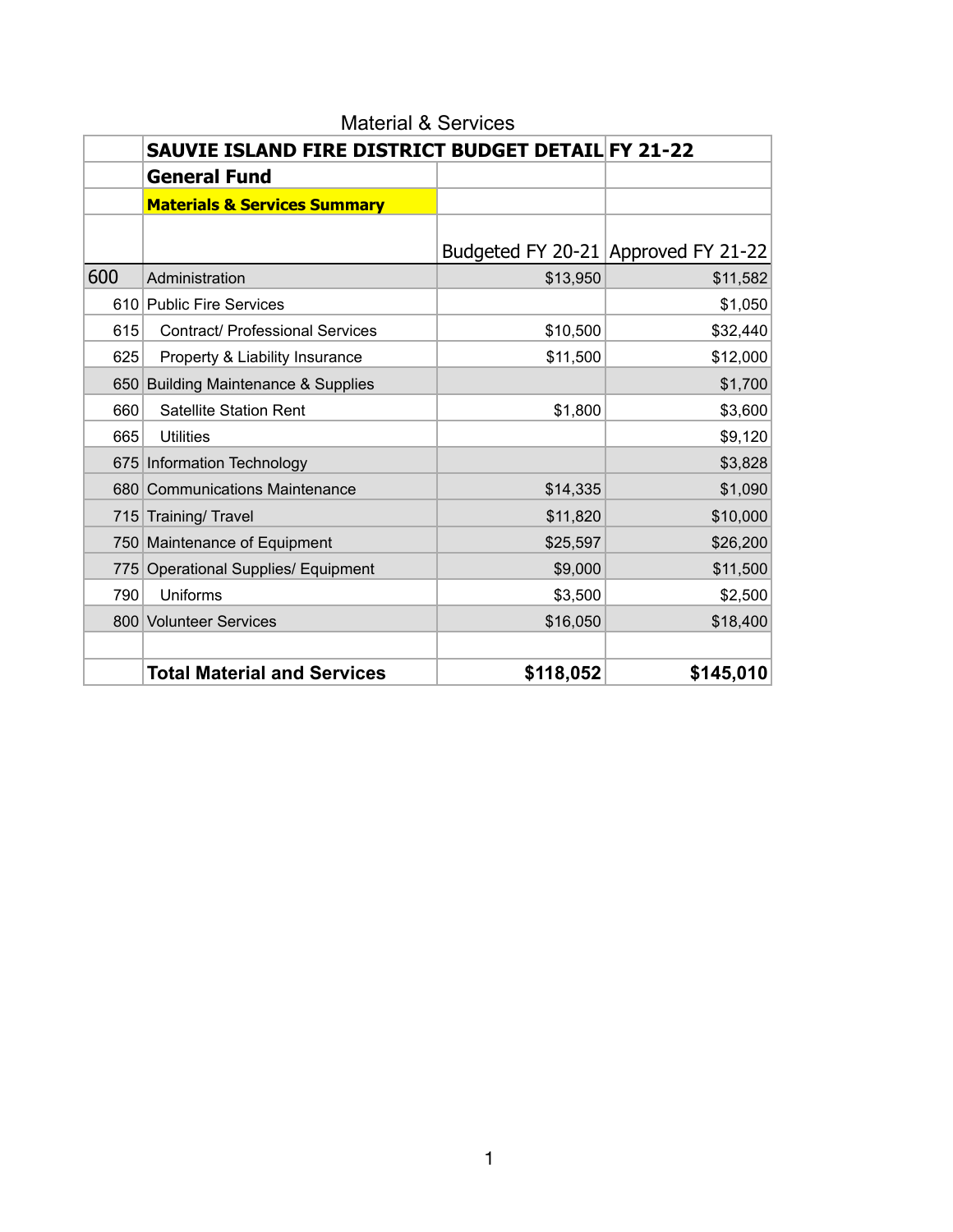|     | SAUVIE ISLAND FIRE DISTRICT BUDGET DETAIL FY 21-22 |           |                                     |
|-----|----------------------------------------------------|-----------|-------------------------------------|
|     | <b>General Fund</b>                                |           |                                     |
|     | <b>Materials &amp; Services Summary</b>            |           |                                     |
|     |                                                    |           |                                     |
|     |                                                    |           | Budgeted FY 20-21 Approved FY 21-22 |
| 600 | Administration                                     | \$13,950  | \$11,582                            |
|     | 610 Public Fire Services                           |           | \$1,050                             |
| 615 | <b>Contract/ Professional Services</b>             | \$10,500  | \$32,440                            |
| 625 | Property & Liability Insurance                     | \$11,500  | \$12,000                            |
| 650 | <b>Building Maintenance &amp; Supplies</b>         |           | \$1,700                             |
| 660 | <b>Satellite Station Rent</b>                      | \$1,800   | \$3,600                             |
| 665 | <b>Utilities</b>                                   |           | \$9,120                             |
|     | 675 Information Technology                         |           | \$3,828                             |
|     | 680 Communications Maintenance                     | \$14,335  | \$1,090                             |
|     | 715 Training/ Travel                               | \$11,820  | \$10,000                            |
|     | 750 Maintenance of Equipment                       | \$25,597  | \$26,200                            |
| 775 | <b>Operational Supplies/ Equipment</b>             | \$9,000   | \$11,500                            |
| 790 | Uniforms                                           | \$3,500   | \$2,500                             |
|     | 800 Volunteer Services                             | \$16,050  | \$18,400                            |
|     |                                                    |           |                                     |
|     | <b>Total Material and Services</b>                 | \$118,052 | \$145,010                           |

Material & Services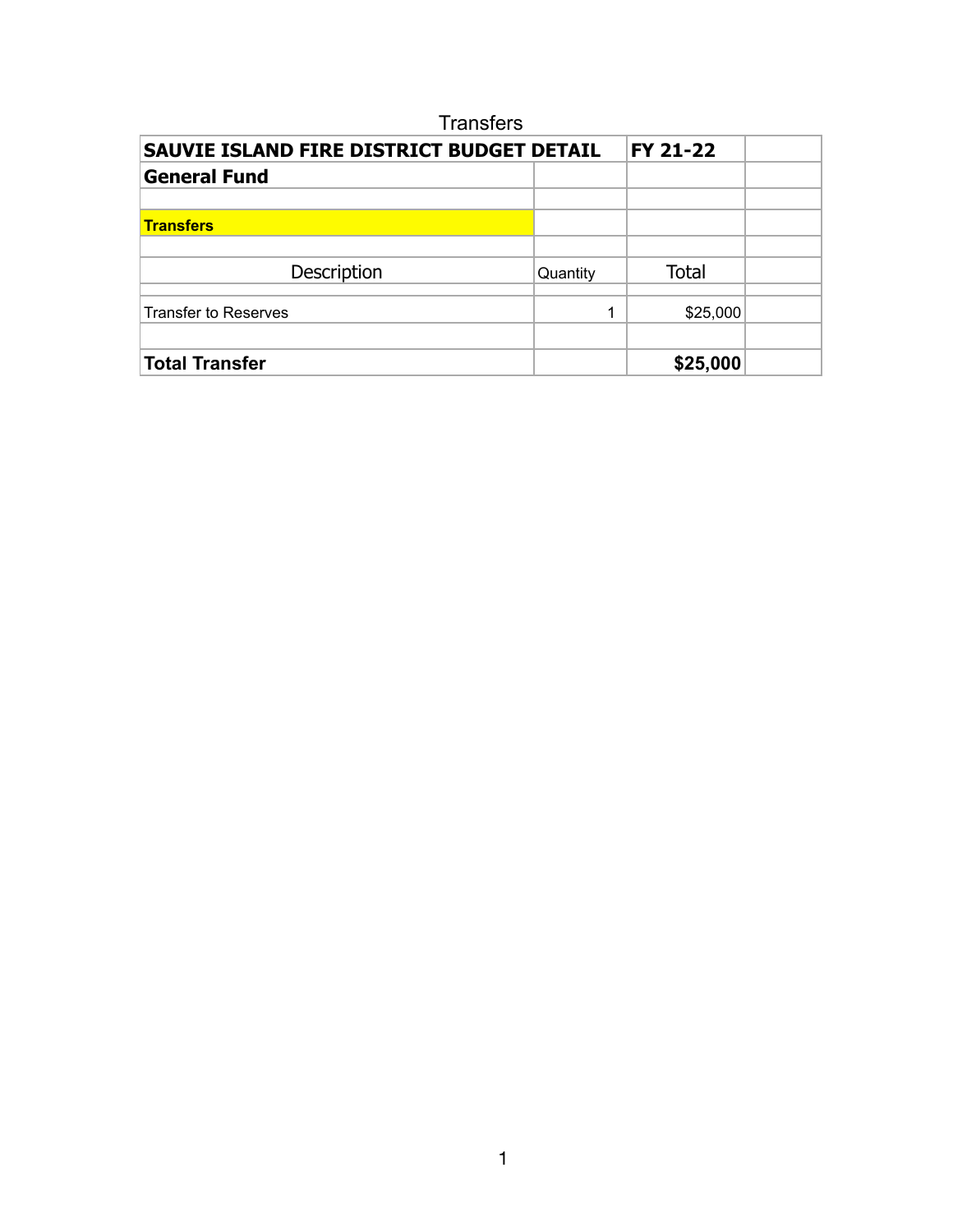| <b>Transfers</b>                          |          |                 |  |
|-------------------------------------------|----------|-----------------|--|
| SAUVIE ISLAND FIRE DISTRICT BUDGET DETAIL |          | <b>FY 21-22</b> |  |
| <b>General Fund</b>                       |          |                 |  |
|                                           |          |                 |  |
| <b>Transfers</b>                          |          |                 |  |
|                                           |          |                 |  |
| Description                               | Quantity | <b>Total</b>    |  |
|                                           |          |                 |  |
| <b>Transfer to Reserves</b>               |          | \$25,000        |  |
|                                           |          |                 |  |
| <b>Total Transfer</b>                     |          | \$25,000        |  |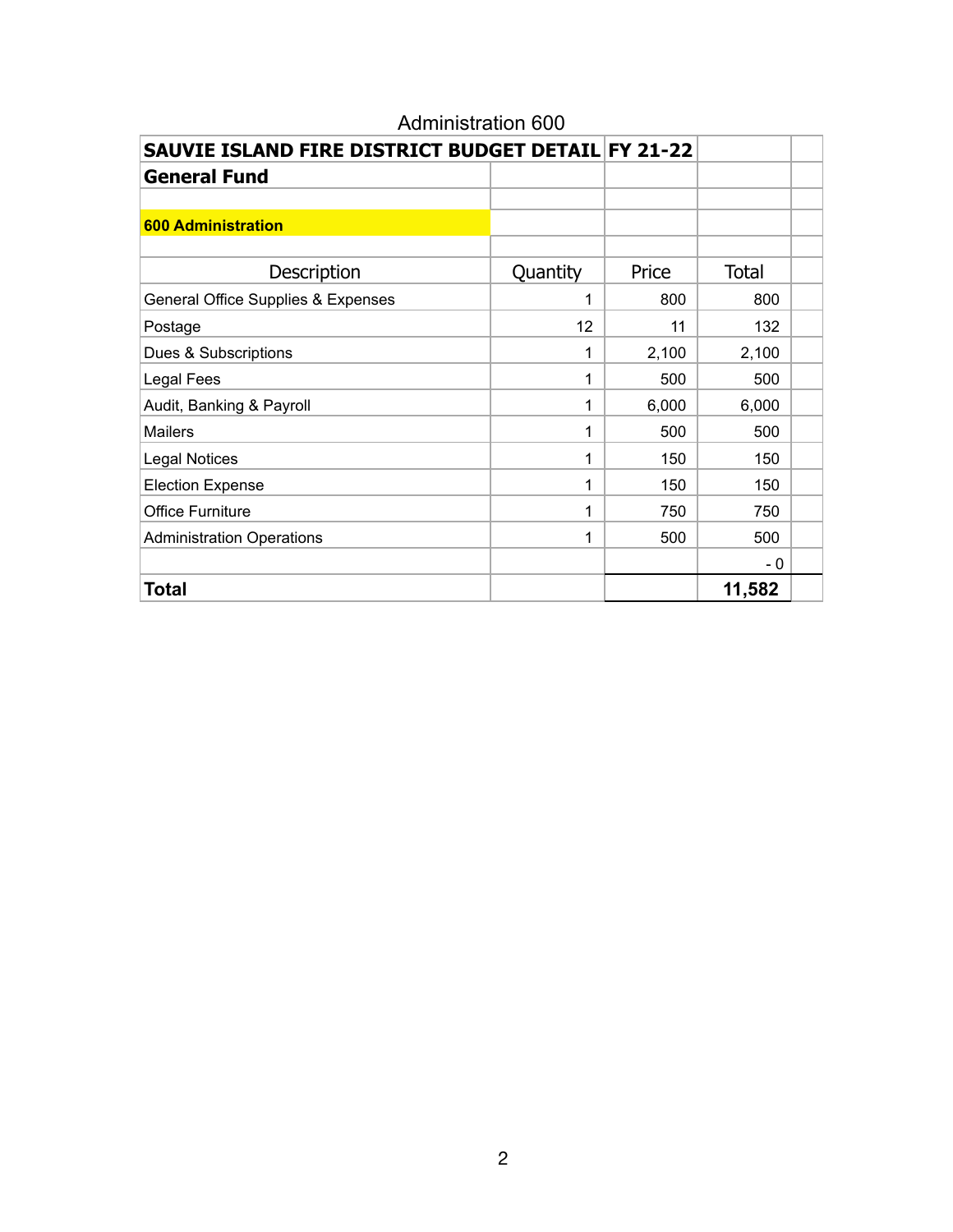| SAUVIE ISLAND FIRE DISTRICT BUDGET DETAIL FY 21-22 |          |       |              |  |
|----------------------------------------------------|----------|-------|--------------|--|
| <b>General Fund</b>                                |          |       |              |  |
|                                                    |          |       |              |  |
| <b>600 Administration</b>                          |          |       |              |  |
|                                                    |          |       |              |  |
| Description                                        | Quantity | Price | <b>Total</b> |  |
| General Office Supplies & Expenses                 | 1        | 800   | 800          |  |
| Postage                                            | 12       | 11    | 132          |  |
| Dues & Subscriptions                               | 1        | 2,100 | 2,100        |  |
| <b>Legal Fees</b>                                  | 1        | 500   | 500          |  |
| Audit, Banking & Payroll                           | 1        | 6,000 | 6,000        |  |
| <b>Mailers</b>                                     | 1        | 500   | 500          |  |
| <b>Legal Notices</b>                               | 1        | 150   | 150          |  |
| <b>Election Expense</b>                            | 1        | 150   | 150          |  |
| <b>Office Furniture</b>                            | 1        | 750   | 750          |  |
| <b>Administration Operations</b>                   | 1        | 500   | 500          |  |
|                                                    |          |       | - 0          |  |
| Total                                              |          |       | 11,582       |  |

# Administration 600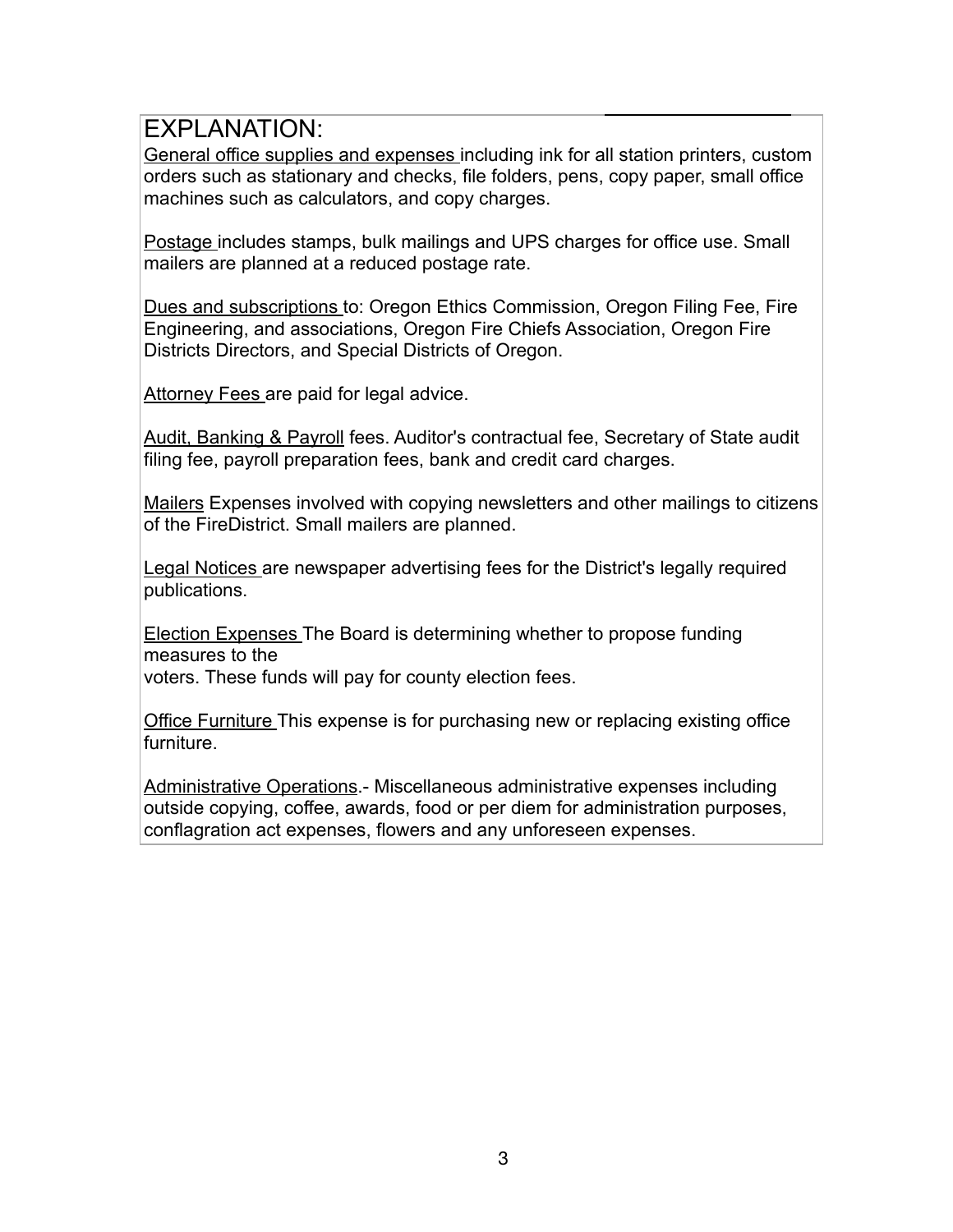General office supplies and expenses including ink for all station printers, custom orders such as stationary and checks, file folders, pens, copy paper, small office machines such as calculators, and copy charges.

Postage includes stamps, bulk mailings and UPS charges for office use. Small mailers are planned at a reduced postage rate.

Dues and subscriptions to: Oregon Ethics Commission, Oregon Filing Fee, Fire Engineering, and associations, Oregon Fire Chiefs Association, Oregon Fire Districts Directors, and Special Districts of Oregon.

Attorney Fees are paid for legal advice.

Audit, Banking & Payroll fees. Auditor's contractual fee, Secretary of State audit filing fee, payroll preparation fees, bank and credit card charges.

Mailers Expenses involved with copying newsletters and other mailings to citizens of the FireDistrict. Small mailers are planned.

Legal Notices are newspaper advertising fees for the District's legally required publications.

Election Expenses The Board is determining whether to propose funding measures to the

voters. These funds will pay for county election fees.

Office Furniture This expense is for purchasing new or replacing existing office furniture.

Administrative Operations.- Miscellaneous administrative expenses including outside copying, coffee, awards, food or per diem for administration purposes, conflagration act expenses, flowers and any unforeseen expenses.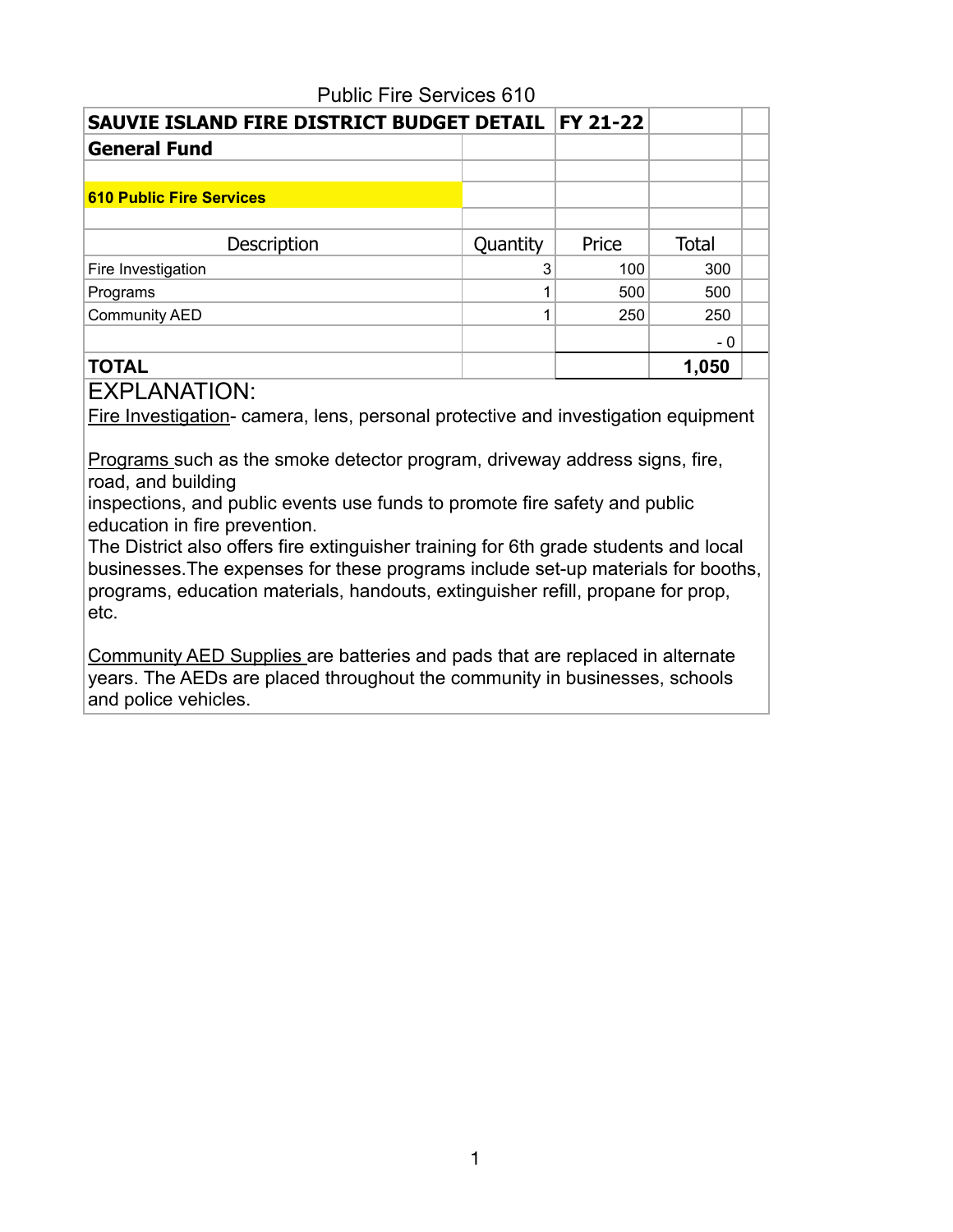| <b>FY 21-22</b><br>SAUVIE ISLAND FIRE DISTRICT BUDGET DETAIL |          |       |              |  |
|--------------------------------------------------------------|----------|-------|--------------|--|
| <b>General Fund</b>                                          |          |       |              |  |
|                                                              |          |       |              |  |
| <b>610 Public Fire Services</b>                              |          |       |              |  |
|                                                              |          |       |              |  |
| Description                                                  | Quantity | Price | <b>Total</b> |  |
| Fire Investigation                                           |          | 100   | 300          |  |
| Programs                                                     |          | 500   | 500          |  |
| <b>Community AED</b>                                         |          | 250   | 250          |  |
|                                                              |          |       | - 0          |  |
| <b>TOTAL</b>                                                 |          |       | 1,050        |  |

## Public Fire Services 610

EXPLANATION:

Fire Investigation- camera, lens, personal protective and investigation equipment

Programs such as the smoke detector program, driveway address signs, fire, road, and building

inspections, and public events use funds to promote fire safety and public education in fire prevention.

The District also offers fire extinguisher training for 6th grade students and local businesses.The expenses for these programs include set-up materials for booths, programs, education materials, handouts, extinguisher refill, propane for prop, etc.

Community AED Supplies are batteries and pads that are replaced in alternate years. The AEDs are placed throughout the community in businesses, schools and police vehicles.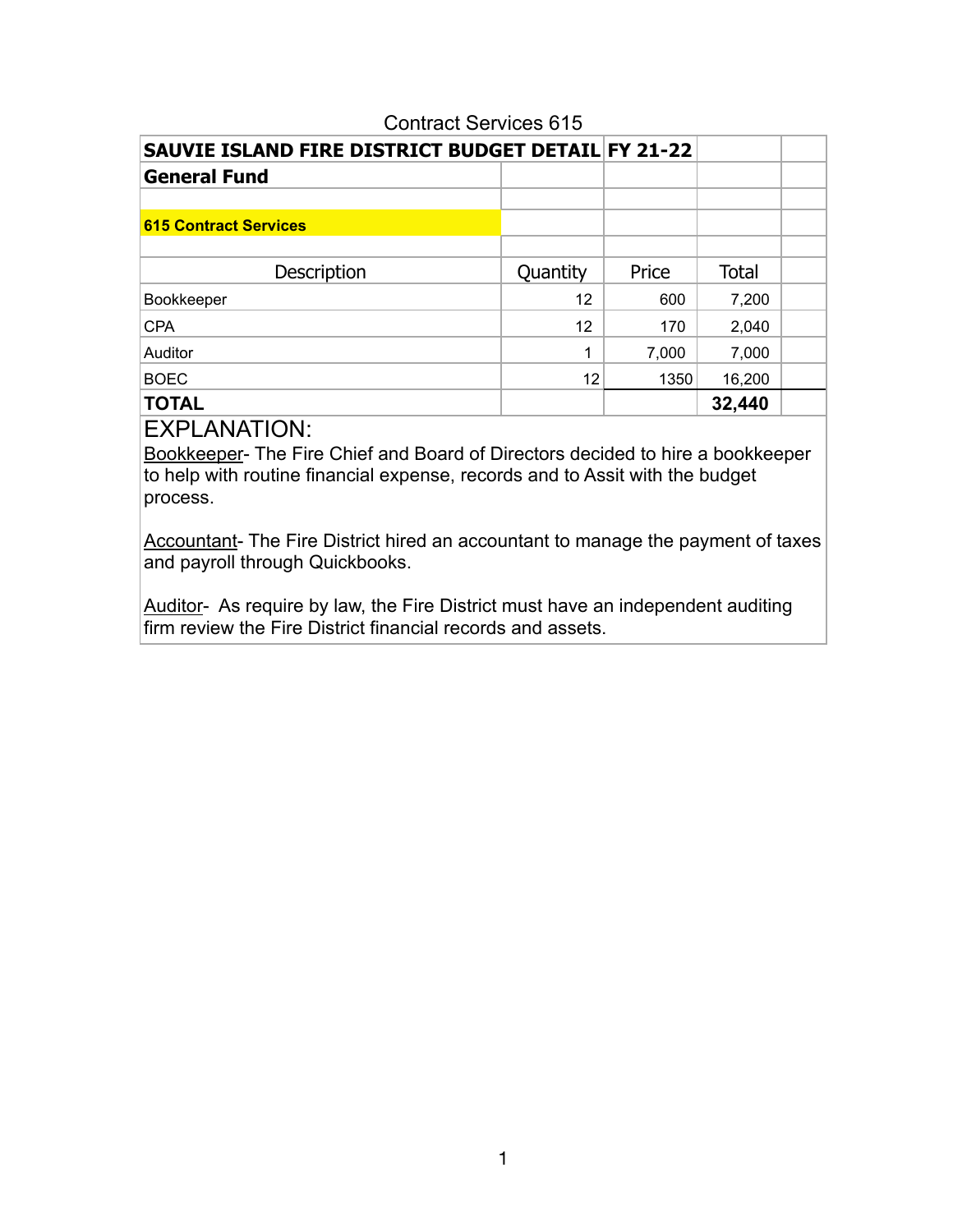| SAUVIE ISLAND FIRE DISTRICT BUDGET DETAIL FY 21-22 |          |       |              |  |  |  |  |  |
|----------------------------------------------------|----------|-------|--------------|--|--|--|--|--|
| <b>General Fund</b>                                |          |       |              |  |  |  |  |  |
|                                                    |          |       |              |  |  |  |  |  |
| <b>615 Contract Services</b>                       |          |       |              |  |  |  |  |  |
|                                                    |          |       |              |  |  |  |  |  |
| Description                                        | Quantity | Price | <b>Total</b> |  |  |  |  |  |
| Bookkeeper                                         | 12       | 600   | 7,200        |  |  |  |  |  |
| <b>CPA</b>                                         | 12       | 170   | 2,040        |  |  |  |  |  |
| Auditor                                            | 1        | 7,000 | 7,000        |  |  |  |  |  |
| <b>BOEC</b>                                        | 12       | 1350  | 16,200       |  |  |  |  |  |
| <b>TOTAL</b>                                       |          |       | 32,440       |  |  |  |  |  |

#### Contract Services 615

EXPLANATION:

Bookkeeper- The Fire Chief and Board of Directors decided to hire a bookkeeper to help with routine financial expense, records and to Assit with the budget process.

Accountant- The Fire District hired an accountant to manage the payment of taxes and payroll through Quickbooks.

Auditor- As require by law, the Fire District must have an independent auditing firm review the Fire District financial records and assets.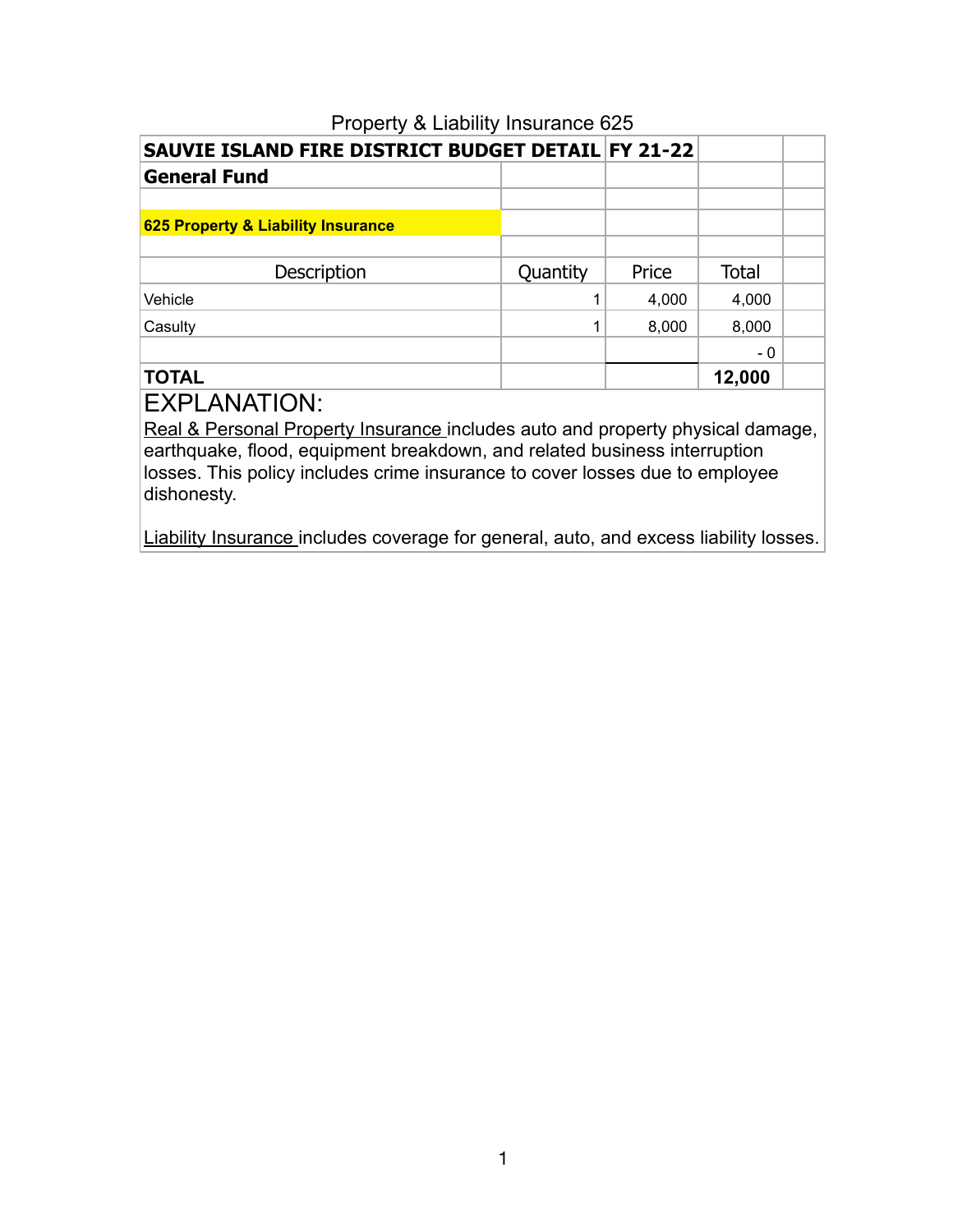|                                    | SAUVIE ISLAND FIRE DISTRICT BUDGET DETAIL FY 21-22 |       |              |  |  |  |  |  |  |  |
|------------------------------------|----------------------------------------------------|-------|--------------|--|--|--|--|--|--|--|
| <b>General Fund</b>                |                                                    |       |              |  |  |  |  |  |  |  |
|                                    |                                                    |       |              |  |  |  |  |  |  |  |
| 625 Property & Liability Insurance |                                                    |       |              |  |  |  |  |  |  |  |
|                                    |                                                    |       |              |  |  |  |  |  |  |  |
| Description                        | Quantity                                           | Price | <b>Total</b> |  |  |  |  |  |  |  |
| Vehicle                            |                                                    | 4,000 | 4,000        |  |  |  |  |  |  |  |
| Casulty                            |                                                    | 8,000 | 8,000        |  |  |  |  |  |  |  |
|                                    |                                                    |       | - 0          |  |  |  |  |  |  |  |
| <b>TOTAL</b>                       |                                                    |       | 12,000       |  |  |  |  |  |  |  |

## Property & Liability Insurance 625

# EXPLANATION:

Real & Personal Property Insurance includes auto and property physical damage, earthquake, flood, equipment breakdown, and related business interruption losses. This policy includes crime insurance to cover losses due to employee dishonesty.

Liability Insurance includes coverage for general, auto, and excess liability losses.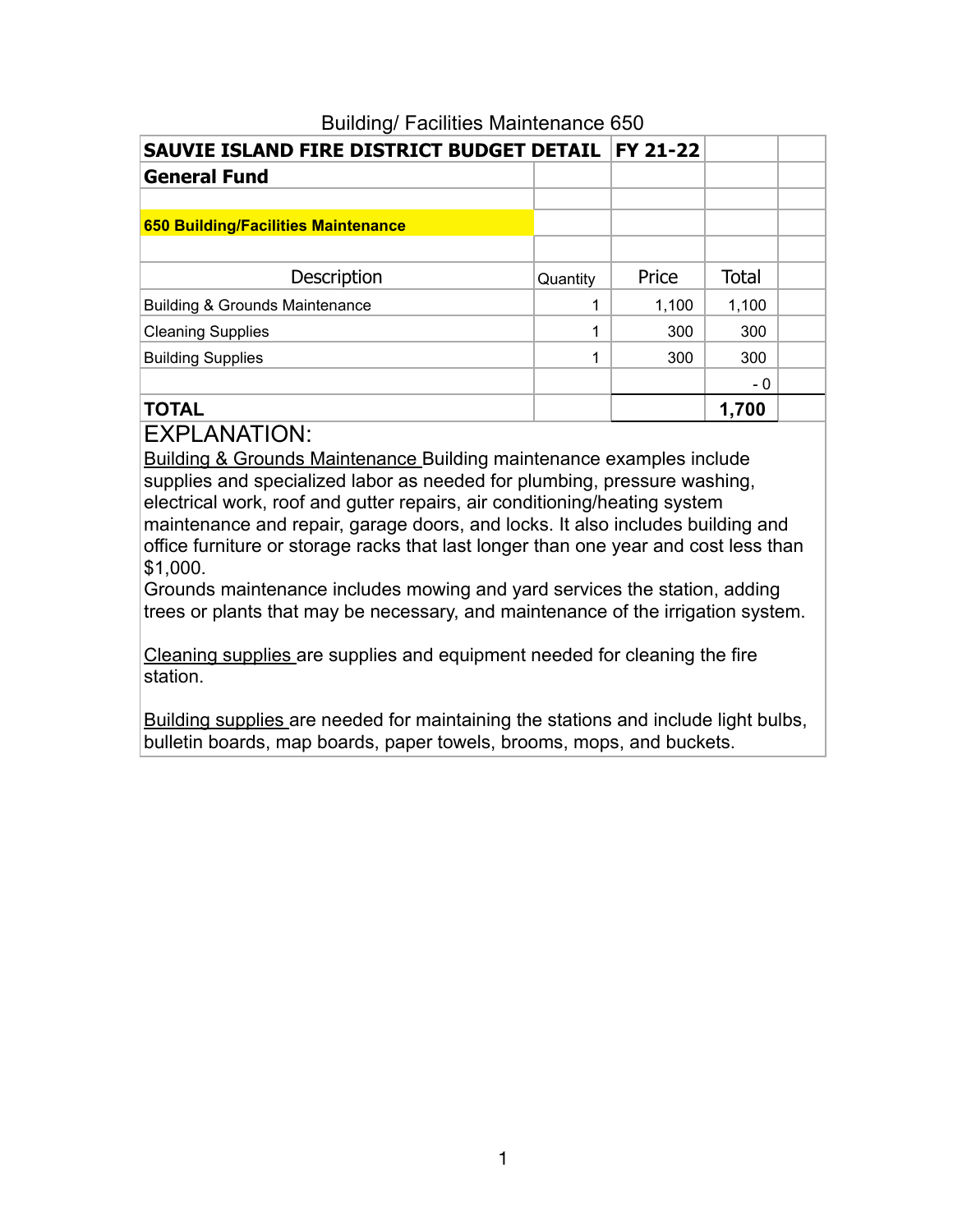| <b>SAUVIE ISLAND FIRE DISTRICT BUDGET DETAIL  </b> |          | <b>FY 21-22</b> |              |  |
|----------------------------------------------------|----------|-----------------|--------------|--|
| <b>General Fund</b>                                |          |                 |              |  |
|                                                    |          |                 |              |  |
| <b>650 Building/Facilities Maintenance</b>         |          |                 |              |  |
|                                                    |          |                 |              |  |
| <b>Description</b>                                 | Quantity | Price           | <b>Total</b> |  |
| <b>Building &amp; Grounds Maintenance</b>          | 1        | 1,100           | 1,100        |  |
| <b>Cleaning Supplies</b>                           | 1        | 300             | 300          |  |
| <b>Building Supplies</b>                           | 1        | 300             | 300          |  |
|                                                    |          |                 | - 0          |  |
| <b>TOTAL</b>                                       |          |                 | 1.700        |  |

#### Building/ Facilities Maintenance 650

EXPLANATION:

Building & Grounds Maintenance Building maintenance examples include supplies and specialized labor as needed for plumbing, pressure washing, electrical work, roof and gutter repairs, air conditioning/heating system maintenance and repair, garage doors, and locks. It also includes building and office furniture or storage racks that last longer than one year and cost less than \$1,000.

Grounds maintenance includes mowing and yard services the station, adding trees or plants that may be necessary, and maintenance of the irrigation system.

Cleaning supplies are supplies and equipment needed for cleaning the fire station.

Building supplies are needed for maintaining the stations and include light bulbs, bulletin boards, map boards, paper towels, brooms, mops, and buckets.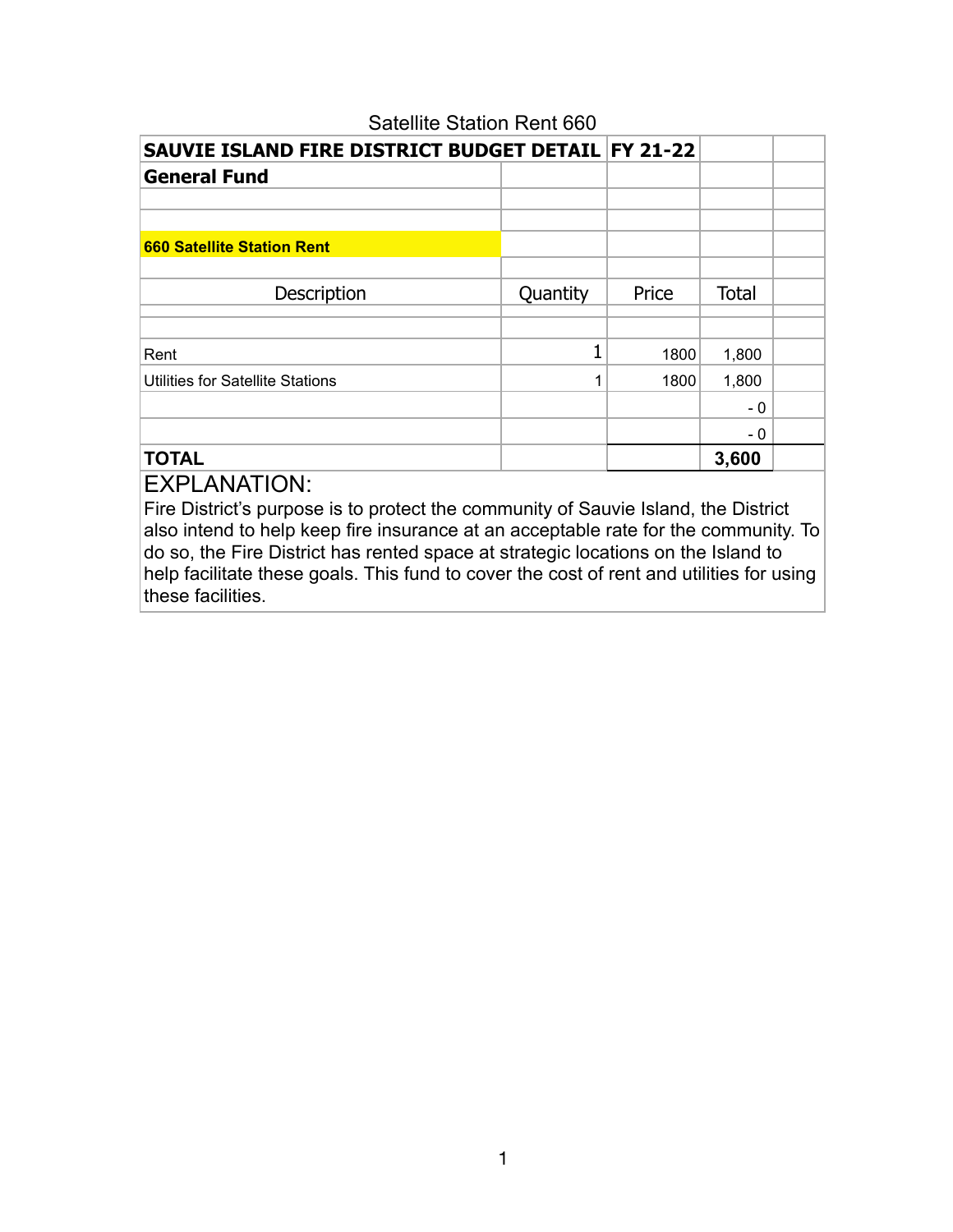| SAUVIE ISLAND FIRE DISTRICT BUDGET DETAIL FY 21-22 |          |       |              |  |
|----------------------------------------------------|----------|-------|--------------|--|
| <b>General Fund</b>                                |          |       |              |  |
|                                                    |          |       |              |  |
|                                                    |          |       |              |  |
| <b>660 Satellite Station Rent</b>                  |          |       |              |  |
|                                                    |          |       |              |  |
| Description                                        | Quantity | Price | <b>Total</b> |  |
|                                                    |          |       |              |  |
| Rent                                               | 1        | 1800  | 1,800        |  |
| <b>Utilities for Satellite Stations</b>            | 1        | 1800  | 1,800        |  |
|                                                    |          |       | - 0          |  |
|                                                    |          |       | - 0          |  |
| <b>TOTAL</b>                                       |          |       | 3,600        |  |
|                                                    |          |       |              |  |

## Satellite Station Rent 660

EXPLANATION:

Fire District's purpose is to protect the community of Sauvie Island, the District also intend to help keep fire insurance at an acceptable rate for the community. To do so, the Fire District has rented space at strategic locations on the Island to help facilitate these goals. This fund to cover the cost of rent and utilities for using these facilities.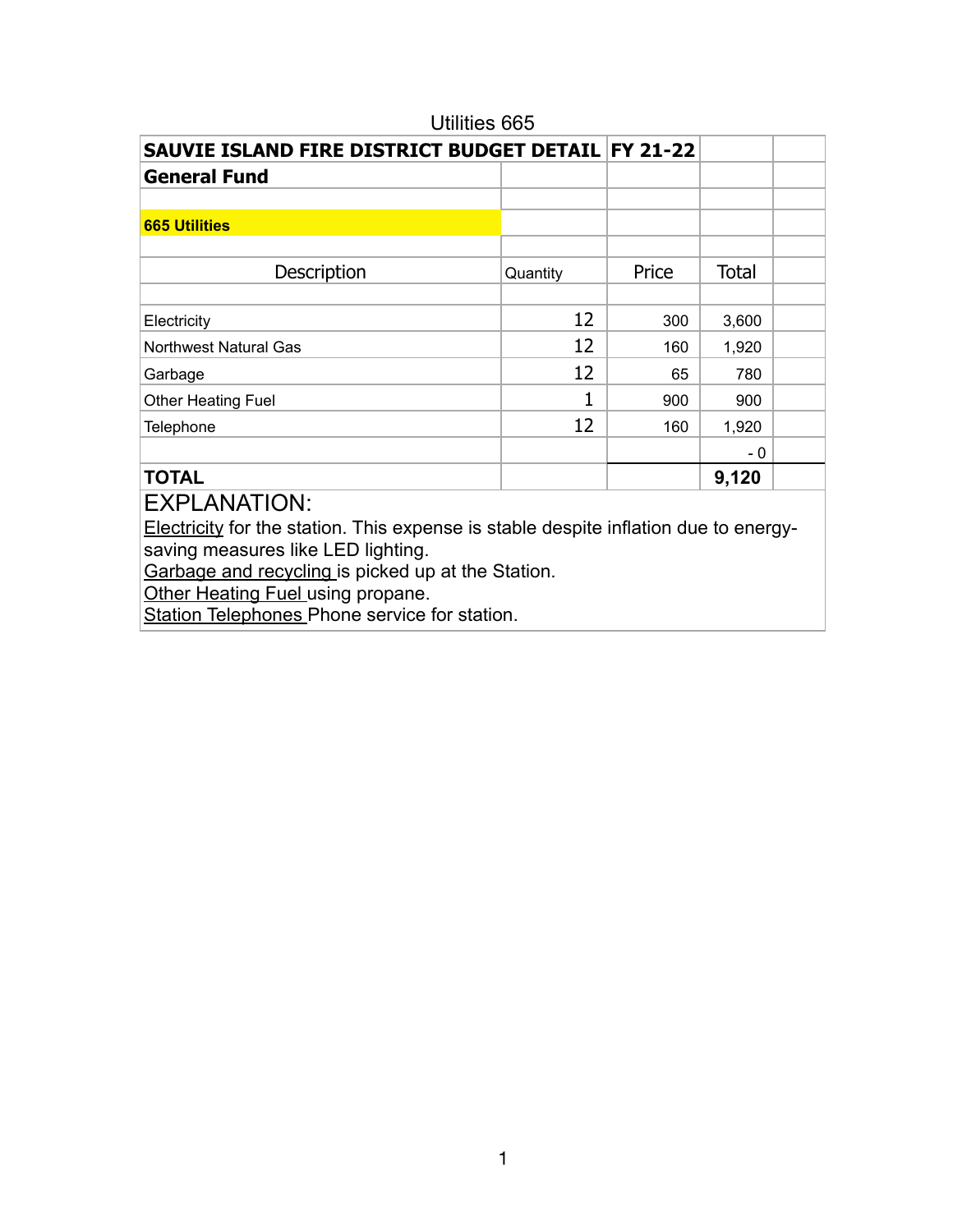| Utilities 665                                      |          |       |              |  |
|----------------------------------------------------|----------|-------|--------------|--|
| SAUVIE ISLAND FIRE DISTRICT BUDGET DETAIL FY 21-22 |          |       |              |  |
| <b>General Fund</b>                                |          |       |              |  |
|                                                    |          |       |              |  |
| <b>665 Utilities</b>                               |          |       |              |  |
|                                                    |          |       |              |  |
| Description                                        | Quantity | Price | <b>Total</b> |  |
|                                                    |          |       |              |  |
| Electricity                                        | 12       | 300   | 3,600        |  |
| <b>Northwest Natural Gas</b>                       | 12       | 160   | 1,920        |  |
| Garbage                                            | 12       | 65    | 780          |  |
| Other Heating Fuel                                 |          | 900   | 900          |  |
| <b>Telephone</b>                                   | 12       | 160   | 1,920        |  |
|                                                    |          |       | - 0          |  |
| <b>TOTAL</b>                                       |          |       | 9,120        |  |
| FVDI ANIATIONI.                                    |          |       |              |  |

Electricity for the station. This expense is stable despite inflation due to energysaving measures like LED lighting.

Garbage and recycling is picked up at the Station.

Other Heating Fuel using propane.

Station Telephones Phone service for station.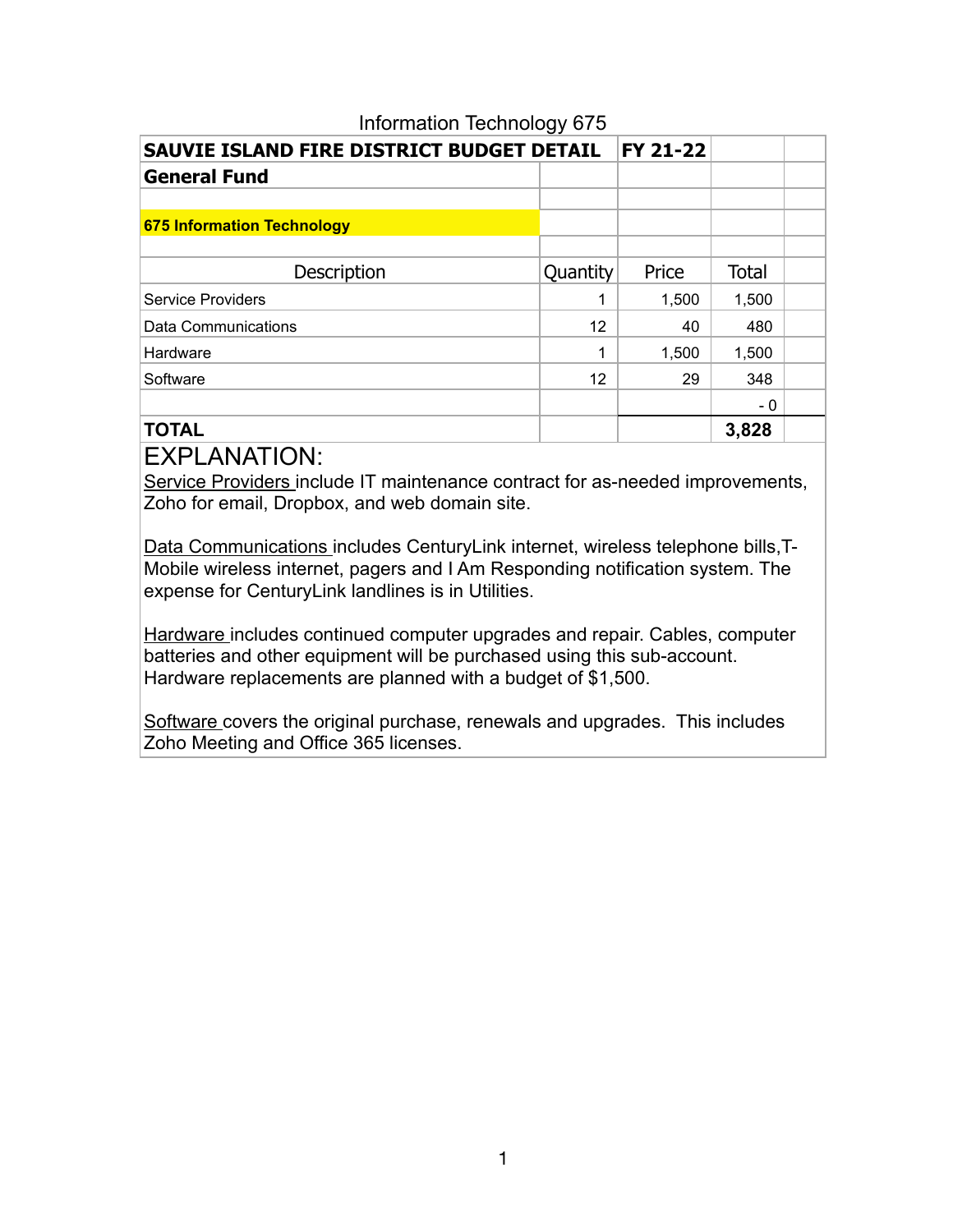| SAUVIE ISLAND FIRE DISTRICT BUDGET DETAIL | FY 21-22 |       |              |  |
|-------------------------------------------|----------|-------|--------------|--|
| <b>General Fund</b>                       |          |       |              |  |
|                                           |          |       |              |  |
| <b>675 Information Technology</b>         |          |       |              |  |
|                                           |          |       |              |  |
| Description                               | Quantity | Price | <b>Total</b> |  |
| <b>Service Providers</b>                  | 1        | 1,500 | 1,500        |  |
| Data Communications                       | 12       | 40    | 480          |  |
| Hardware                                  | 1        | 1,500 | 1,500        |  |
| Software                                  | 12       | 29    | 348          |  |
|                                           |          |       | - 0          |  |
| <b>TOTAL</b>                              |          |       | 3,828        |  |

#### Information Technology 675

### EXPLANATION:

Service Providers include IT maintenance contract for as-needed improvements, Zoho for email, Dropbox, and web domain site.

Data Communications includes CenturyLink internet, wireless telephone bills,T-Mobile wireless internet, pagers and I Am Responding notification system. The expense for CenturyLink landlines is in Utilities.

Hardware includes continued computer upgrades and repair. Cables, computer batteries and other equipment will be purchased using this sub-account. Hardware replacements are planned with a budget of \$1,500.

Software covers the original purchase, renewals and upgrades. This includes Zoho Meeting and Office 365 licenses.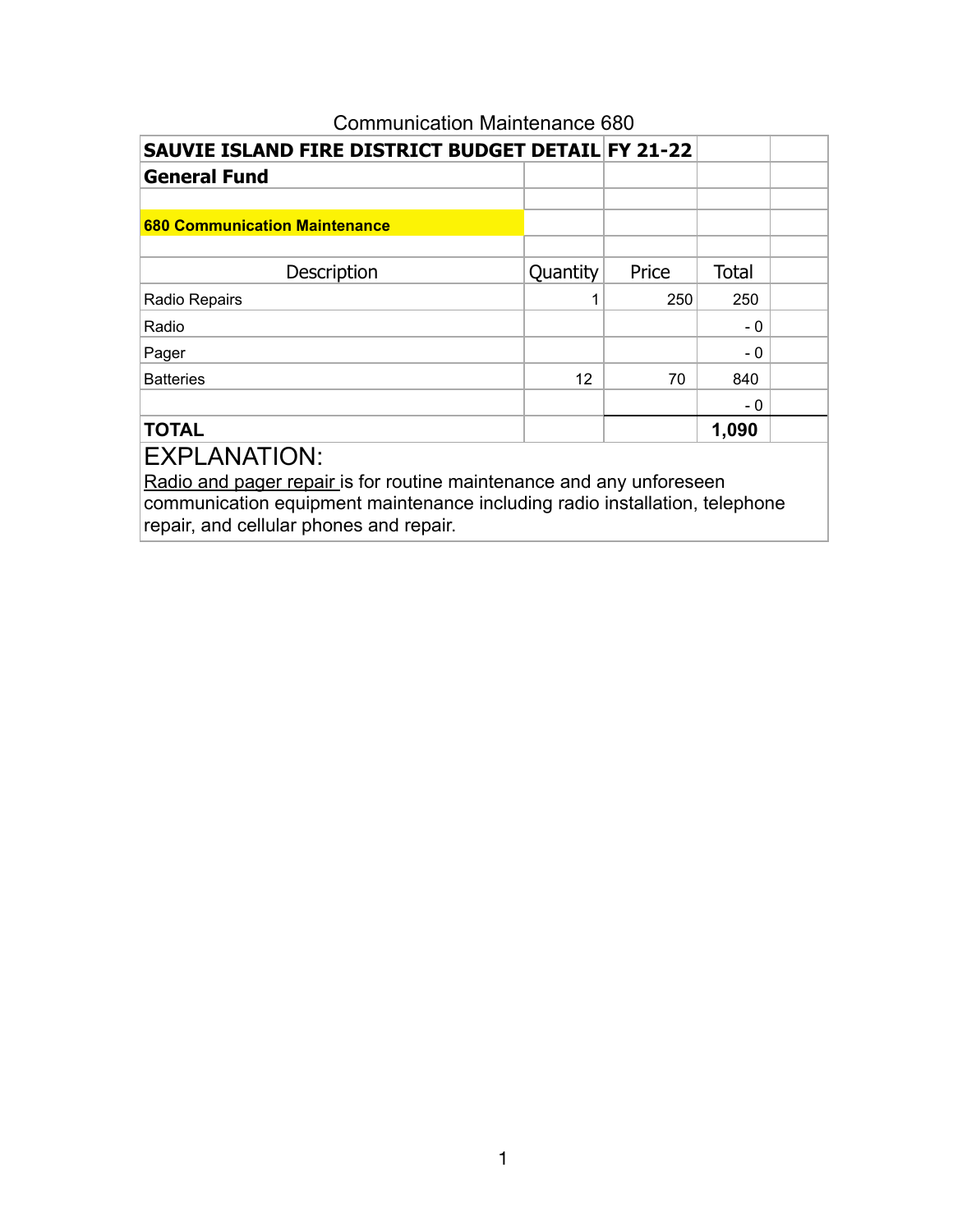| SAUVIE ISLAND FIRE DISTRICT BUDGET DETAIL FY 21-22                                                                                                  |          |       |              |  |
|-----------------------------------------------------------------------------------------------------------------------------------------------------|----------|-------|--------------|--|
| <b>General Fund</b>                                                                                                                                 |          |       |              |  |
|                                                                                                                                                     |          |       |              |  |
| <b>680 Communication Maintenance</b>                                                                                                                |          |       |              |  |
|                                                                                                                                                     |          |       |              |  |
| Description                                                                                                                                         | Quantity | Price | <b>Total</b> |  |
| Radio Repairs                                                                                                                                       |          | 250   | 250          |  |
| Radio                                                                                                                                               |          |       | - 0          |  |
| Pager                                                                                                                                               |          |       | - 0          |  |
| <b>Batteries</b>                                                                                                                                    | 12       | 70    | 840          |  |
|                                                                                                                                                     |          |       | - 0          |  |
| <b>TOTAL</b>                                                                                                                                        |          |       | 1,090        |  |
| <b>EXPLANATION:</b>                                                                                                                                 |          |       |              |  |
| Radio and pager repair is for routine maintenance and any unforeseen<br>communication equipment maintenance including radio installation, telephone |          |       |              |  |

repair, and cellular phones and repair.

# Communication Maintenance 680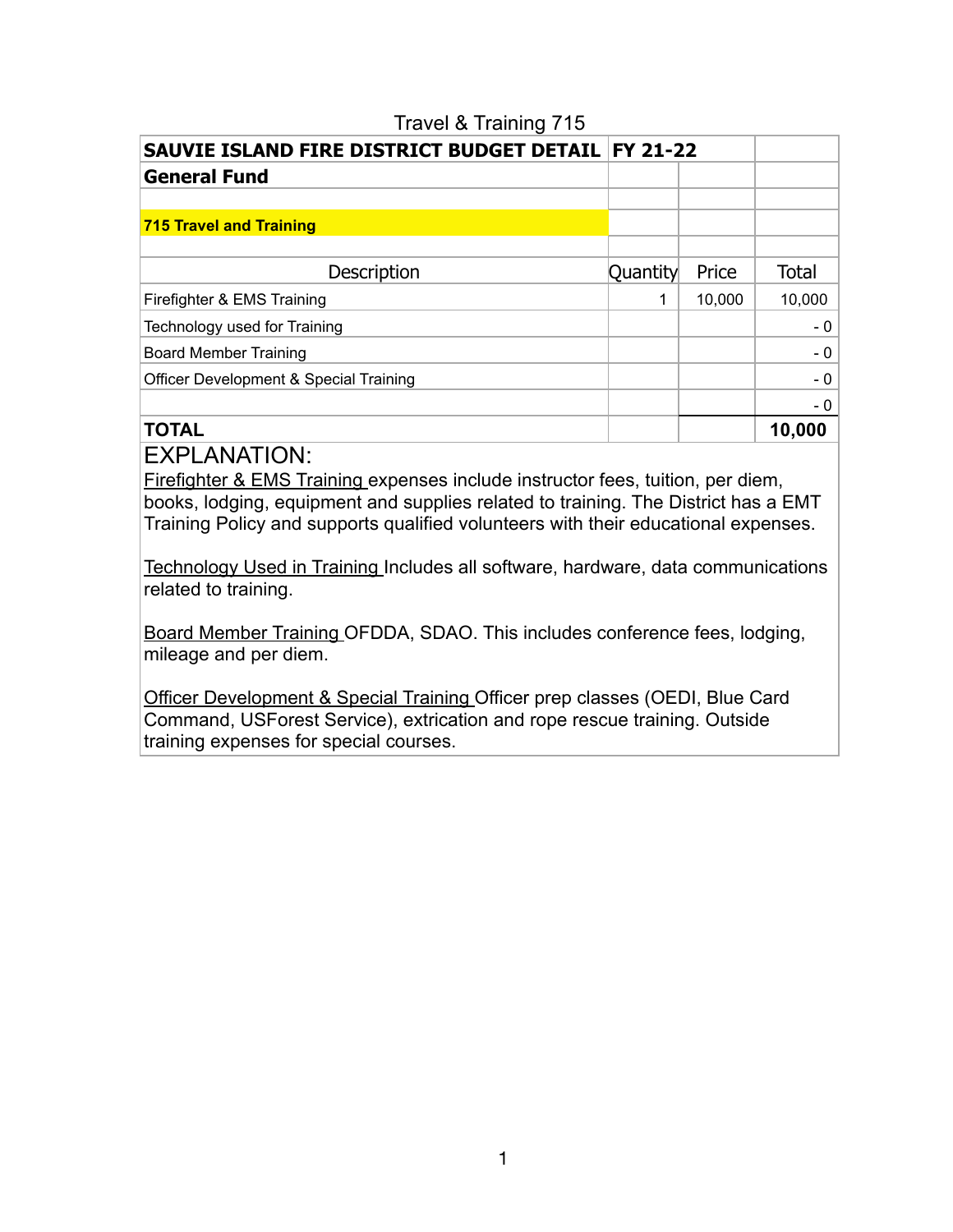| SAUVIE ISLAND FIRE DISTRICT BUDGET DETAIL   FY 21-22 |          |        |              |  |
|------------------------------------------------------|----------|--------|--------------|--|
| <b>General Fund</b>                                  |          |        |              |  |
|                                                      |          |        |              |  |
| <b>715 Travel and Training</b>                       |          |        |              |  |
|                                                      |          |        |              |  |
| Description                                          | Quantity | Price  | <b>Total</b> |  |
| Firefighter & EMS Training                           | 1        | 10,000 | 10,000       |  |
| Technology used for Training                         |          |        | $-0$         |  |
| <b>Board Member Training</b>                         |          |        | $-0$         |  |
| Officer Development & Special Training               |          |        | $-0$         |  |
|                                                      |          |        | $-0$         |  |
| <b>TOTAL</b>                                         |          |        | 10,000       |  |

#### Travel & Training 715

EXPLANATION:

Firefighter & EMS Training expenses include instructor fees, tuition, per diem, books, lodging, equipment and supplies related to training. The District has a EMT Training Policy and supports qualified volunteers with their educational expenses.

Technology Used in Training Includes all software, hardware, data communications related to training.

Board Member Training OFDDA, SDAO. This includes conference fees, lodging, mileage and per diem.

Officer Development & Special Training Officer prep classes (OEDI, Blue Card Command, USForest Service), extrication and rope rescue training. Outside training expenses for special courses.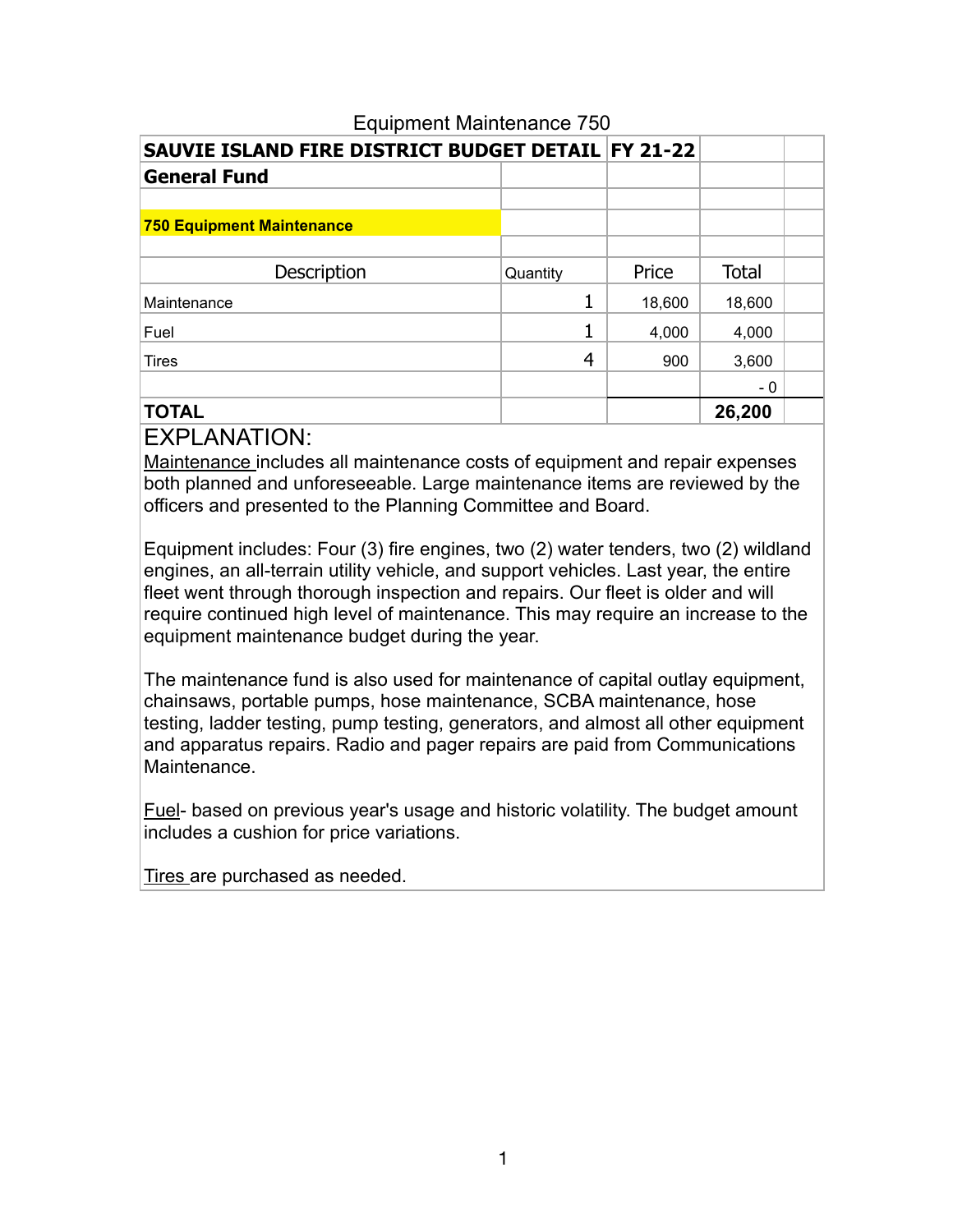| SAUVIE ISLAND FIRE DISTRICT BUDGET DETAIL FY 21-22 |          |        |              |  |
|----------------------------------------------------|----------|--------|--------------|--|
| <b>General Fund</b>                                |          |        |              |  |
|                                                    |          |        |              |  |
| <b>750 Equipment Maintenance</b>                   |          |        |              |  |
|                                                    |          |        |              |  |
| Description                                        | Quantity | Price  | <b>Total</b> |  |
| Maintenance                                        |          | 18,600 | 18,600       |  |
| Fuel                                               |          | 4,000  | 4,000        |  |
| <b>Tires</b>                                       | 4        | 900    | 3,600        |  |
|                                                    |          |        | - 0          |  |
| <b>TOTAL</b>                                       |          |        | 26,200       |  |

### Equipment Maintenance 750

## EXPLANATION:

Maintenance includes all maintenance costs of equipment and repair expenses both planned and unforeseeable. Large maintenance items are reviewed by the officers and presented to the Planning Committee and Board.

Equipment includes: Four (3) fire engines, two (2) water tenders, two (2) wildland engines, an all-terrain utility vehicle, and support vehicles. Last year, the entire fleet went through thorough inspection and repairs. Our fleet is older and will require continued high level of maintenance. This may require an increase to the equipment maintenance budget during the year.

The maintenance fund is also used for maintenance of capital outlay equipment, chainsaws, portable pumps, hose maintenance, SCBA maintenance, hose testing, ladder testing, pump testing, generators, and almost all other equipment and apparatus repairs. Radio and pager repairs are paid from Communications Maintenance.

Fuel- based on previous year's usage and historic volatility. The budget amount includes a cushion for price variations.

Tires are purchased as needed.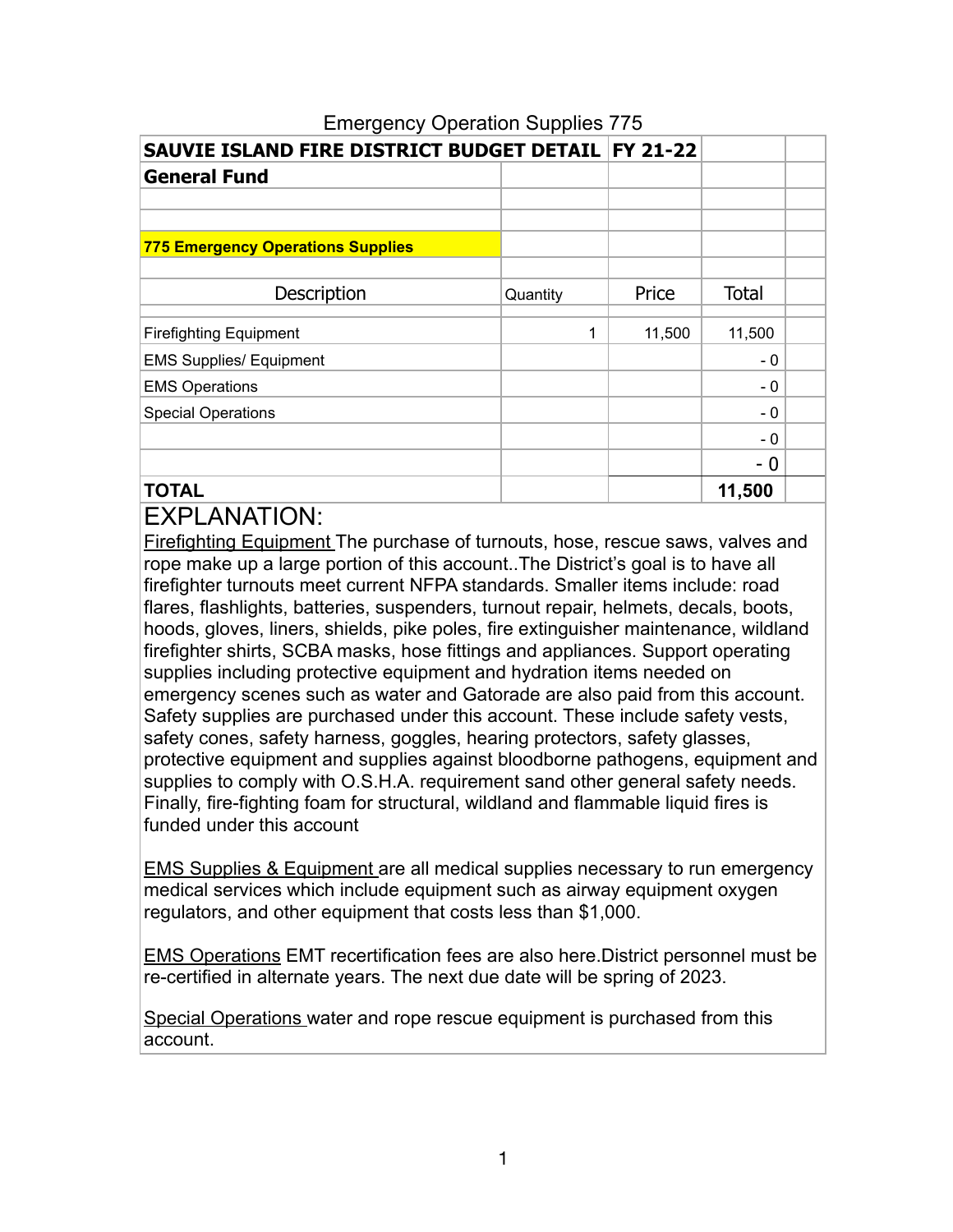| SAUVIE ISLAND FIRE DISTRICT BUDGET DETAIL   FY 21-22 |          |        |              |  |
|------------------------------------------------------|----------|--------|--------------|--|
| <b>General Fund</b>                                  |          |        |              |  |
|                                                      |          |        |              |  |
|                                                      |          |        |              |  |
| <b>775 Emergency Operations Supplies</b>             |          |        |              |  |
|                                                      |          |        |              |  |
| Description                                          | Quantity | Price  | <b>Total</b> |  |
|                                                      | 1        |        |              |  |
| <b>Firefighting Equipment</b>                        |          | 11,500 | 11,500       |  |
| <b>EMS Supplies/ Equipment</b>                       |          |        | $-0$         |  |
| <b>EMS Operations</b>                                |          |        | $-0$         |  |
| <b>Special Operations</b>                            |          |        | - 0          |  |
|                                                      |          |        | - 0          |  |
|                                                      |          |        | - 0          |  |
| <b>TOTAL</b>                                         |          |        | 11,500       |  |

### Emergency Operation Supplies 775

# **EXPLANATION:**

Firefighting Equipment The purchase of turnouts, hose, rescue saws, valves and rope make up a large portion of this account..The District's goal is to have all firefighter turnouts meet current NFPA standards. Smaller items include: road flares, flashlights, batteries, suspenders, turnout repair, helmets, decals, boots, hoods, gloves, liners, shields, pike poles, fire extinguisher maintenance, wildland firefighter shirts, SCBA masks, hose fittings and appliances. Support operating supplies including protective equipment and hydration items needed on emergency scenes such as water and Gatorade are also paid from this account. Safety supplies are purchased under this account. These include safety vests, safety cones, safety harness, goggles, hearing protectors, safety glasses, protective equipment and supplies against bloodborne pathogens, equipment and supplies to comply with O.S.H.A. requirement sand other general safety needs. Finally, fire-fighting foam for structural, wildland and flammable liquid fires is funded under this account

EMS Supplies & Equipment are all medical supplies necessary to run emergency medical services which include equipment such as airway equipment oxygen regulators, and other equipment that costs less than \$1,000.

EMS Operations EMT recertification fees are also here.District personnel must be re-certified in alternate years. The next due date will be spring of 2023.

Special Operations water and rope rescue equipment is purchased from this account.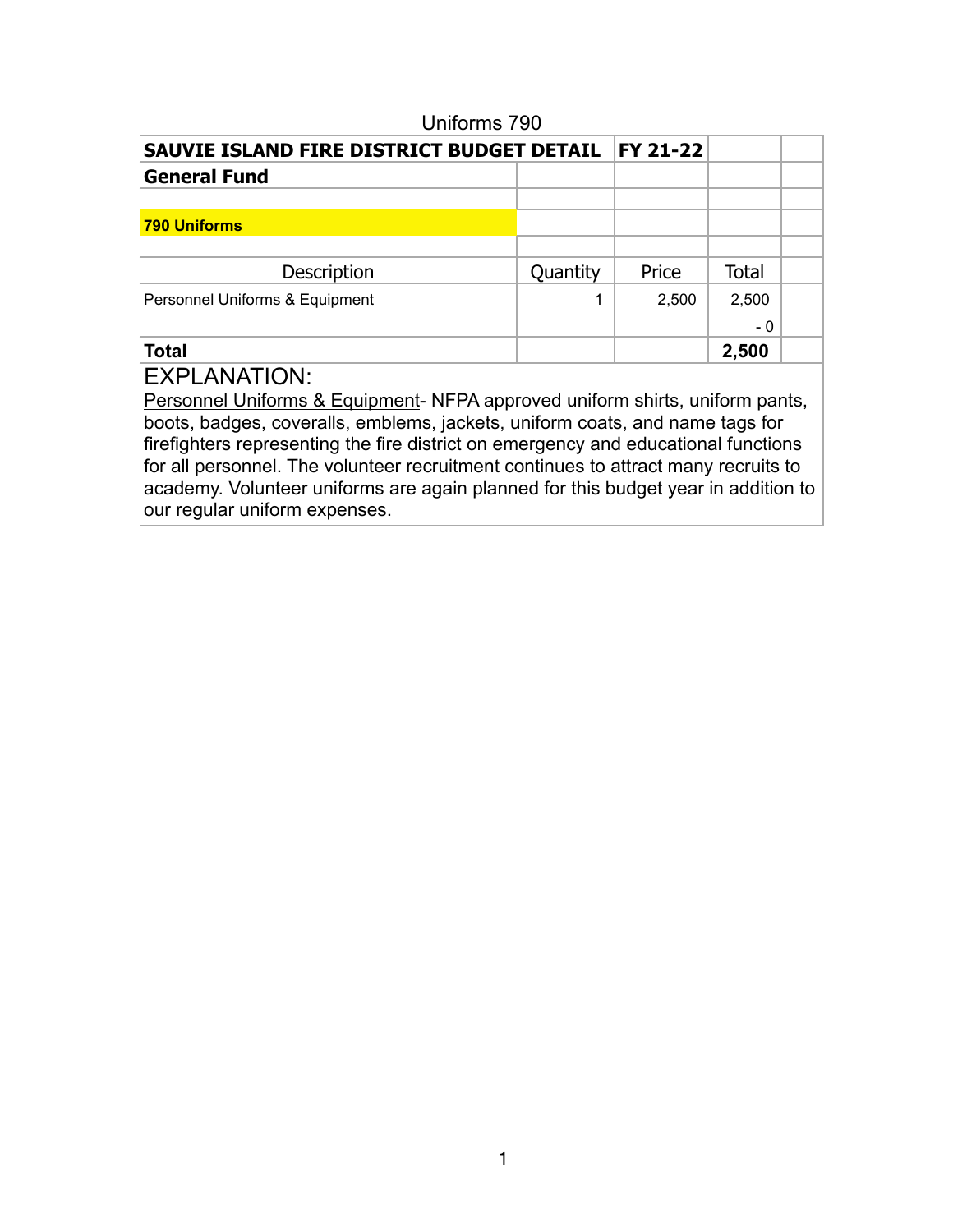| <b>SAUVIE ISLAND FIRE DISTRICT BUDGET DETAIL</b> |          | <b>FY 21-22</b> |              |  |
|--------------------------------------------------|----------|-----------------|--------------|--|
| <b>General Fund</b>                              |          |                 |              |  |
|                                                  |          |                 |              |  |
| <b>790 Uniforms</b>                              |          |                 |              |  |
|                                                  |          |                 |              |  |
| Description                                      | Quantity | Price           | <b>Total</b> |  |
| Personnel Uniforms & Equipment                   | 1        | 2,500           | 2,500        |  |
|                                                  |          |                 | - 0          |  |
| <b>Total</b>                                     |          |                 | 2,500        |  |
|                                                  |          |                 |              |  |

#### Uniforms 790

## EXPLANATION:

Personnel Uniforms & Equipment- NFPA approved uniform shirts, uniform pants, boots, badges, coveralls, emblems, jackets, uniform coats, and name tags for firefighters representing the fire district on emergency and educational functions for all personnel. The volunteer recruitment continues to attract many recruits to academy. Volunteer uniforms are again planned for this budget year in addition to our regular uniform expenses.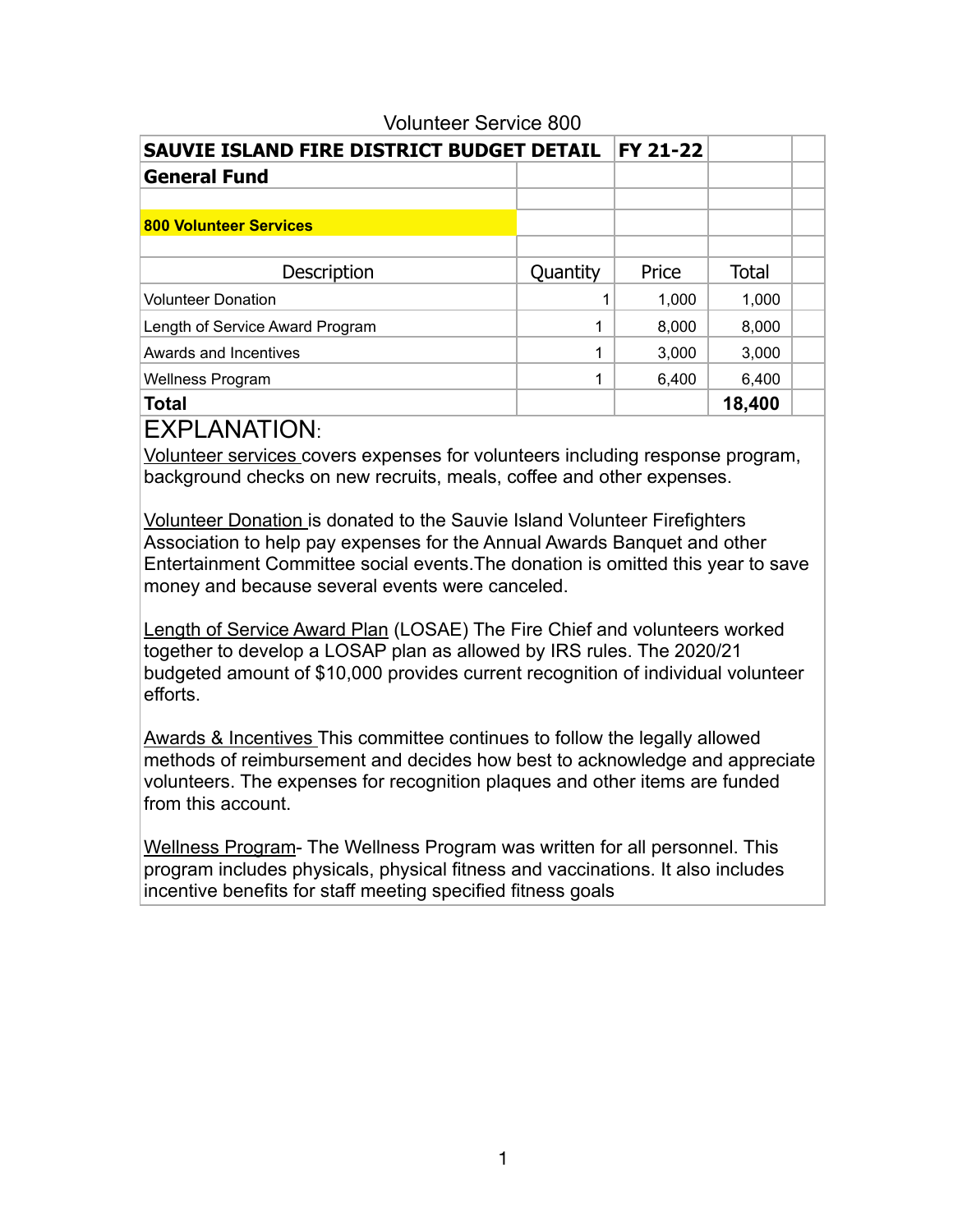| SAUVIE ISLAND FIRE DISTRICT BUDGET DETAIL |          | FY 21-22 |        |  |
|-------------------------------------------|----------|----------|--------|--|
| <b>General Fund</b>                       |          |          |        |  |
|                                           |          |          |        |  |
| <b>800 Volunteer Services</b>             |          |          |        |  |
|                                           |          |          |        |  |
| Description                               | Quantity | Price    | Total  |  |
| <b>Volunteer Donation</b>                 |          | 1,000    | 1,000  |  |
| Length of Service Award Program           | 1        | 8,000    | 8,000  |  |
| Awards and Incentives                     | 1        | 3,000    | 3,000  |  |
| <b>Wellness Program</b>                   | 1        | 6,400    | 6,400  |  |
| <b>Total</b>                              |          |          | 18,400 |  |

#### Volunteer Service 800

EXPLANATION:

Volunteer services covers expenses for volunteers including response program, background checks on new recruits, meals, coffee and other expenses.

Volunteer Donation is donated to the Sauvie Island Volunteer Firefighters Association to help pay expenses for the Annual Awards Banquet and other Entertainment Committee social events.The donation is omitted this year to save money and because several events were canceled.

Length of Service Award Plan (LOSAE) The Fire Chief and volunteers worked together to develop a LOSAP plan as allowed by IRS rules. The 2020/21 budgeted amount of \$10,000 provides current recognition of individual volunteer efforts.

Awards & Incentives This committee continues to follow the legally allowed methods of reimbursement and decides how best to acknowledge and appreciate volunteers. The expenses for recognition plaques and other items are funded from this account.

Wellness Program- The Wellness Program was written for all personnel. This program includes physicals, physical fitness and vaccinations. It also includes incentive benefits for staff meeting specified fitness goals